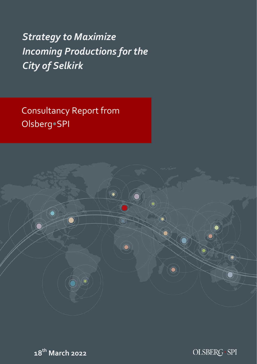*Strategy to Maximize Incoming Productions for the City of Selkirk* 

Consultancy Report from Olsberg•SPI





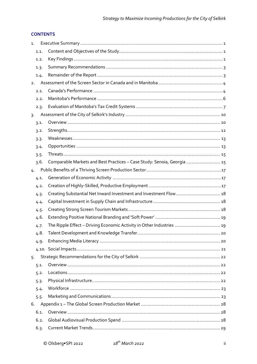# **CONTENTS**

| 1.   |                                                                         |
|------|-------------------------------------------------------------------------|
| 1.1. |                                                                         |
| 1.2. |                                                                         |
| 1.3. |                                                                         |
| 1.4. |                                                                         |
| 2.   |                                                                         |
| 2.1. |                                                                         |
| 2.2. |                                                                         |
| 2.3. |                                                                         |
| 3.   |                                                                         |
| 3.1. |                                                                         |
| 3.2. |                                                                         |
| 3.3. |                                                                         |
| 3.4. |                                                                         |
| 3.5. |                                                                         |
| 3.6. | Comparable Markets and Best Practices - Case Study: Senoia, Georgia  15 |
| 4.   |                                                                         |
| 4.1. |                                                                         |
| 4.2. |                                                                         |
| 4.3. | Creating Substantial Net Inward Investment and Investment Flow  18      |
| 4.4. |                                                                         |
| 4.5. |                                                                         |
| 4.6. |                                                                         |
| 4.7. | The Ripple Effect - Driving Economic Activity in Other Industries  19   |
| 4.8. |                                                                         |
| 4.9. |                                                                         |
|      |                                                                         |
| 5.   |                                                                         |
| 5.1. |                                                                         |
| 5.2. |                                                                         |
| 5.3. |                                                                         |
| 5.4. |                                                                         |
| 5.5. |                                                                         |
| 6.   |                                                                         |
| 6.1. |                                                                         |
| 6.2. |                                                                         |
| 6.3. |                                                                         |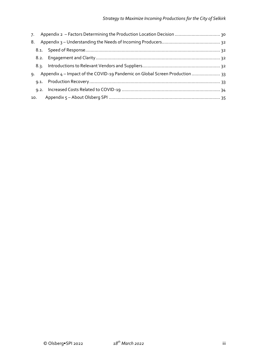| 7.  |                                                                              |  |
|-----|------------------------------------------------------------------------------|--|
| 8.  |                                                                              |  |
|     |                                                                              |  |
|     |                                                                              |  |
|     |                                                                              |  |
| ٩.  | Appendix 4 - Impact of the COVID-19 Pandemic on Global Screen Production  33 |  |
|     |                                                                              |  |
|     |                                                                              |  |
| 10. |                                                                              |  |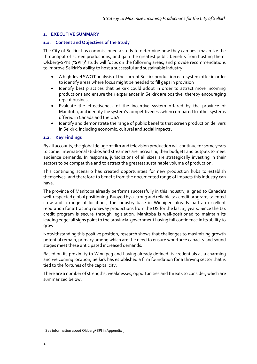## <span id="page-3-0"></span>**1. EXECUTIVE SUMMARY**

## <span id="page-3-1"></span>**1.1. Content and Objectives of the Study**

The City of Selkirk has commissioned a study to determine how they can best maximize the throughput of screen productions, and gain the greatest public benefits from hosting them. Olsberg•SPI's ("SPI")<sup>1</sup> study will focus on the following areas, and provide recommendations to improve Selkirk's ability to host a successful and sustainable industry:

- A high-level SWOT analysis of the current Selkirk production eco-system offer in order to identify areas where focus might be needed to fill gaps in provision
- Identify best practices that Selkirk could adopt in order to attract more incoming productions and ensure their experiences in Selkirk are positive, thereby encouraging repeat business
- Evaluate the effectiveness of the incentive system offered by the province of Manitoba, and identify the system's competitiveness when compared to other systems offered in Canada and the USA
- Identify and demonstrate the range of public benefits that screen production delivers in Selkirk, including economic, cultural and social impacts.

## <span id="page-3-2"></span>**1.2. Key Findings**

By all accounts, the global deluge of film and television production will continue for some years to come. International studios and streamers are increasing their budgets and outputs to meet audience demands. In response, jurisdictions of all sizes are strategically investing in their sectors to be competitive and to attract the greatest sustainable volume of production.

This continuing scenario has created opportunities for new production hubs to establish themselves, and therefore to benefit from the documented range of impacts this industry can have.

The province of Manitoba already performs successfully in this industry, aligned to Canada's well-respected global positioning. Buoyed by a strong and reliable tax credit program, talented crew and a range of locations, the industry base in Winnipeg already had an excellent reputation for attracting runaway productions from the US for the last 15 years. Since the tax credit program is secure through legislation, Manitoba is well-positioned to maintain its leading edge; all signs point to the provincial government having full confidence in its ability to grow.

Notwithstanding this positive position, research shows that challenges to maximizing growth potential remain, primary among which are the need to ensure workforce capacity and sound stages meet these anticipated increased demands.

Based on its proximity to Winnipeg and having already defined its credentials as a charming and welcoming location, Selkirk has established a firm foundation for a thriving sector that is tied to the fortunes of the capital city.

There are a number of strengths, weaknesses, opportunities and threats to consider, which are summarized below.

<sup>&</sup>lt;sup>1</sup> See information about Olsberg•SPI in Appendix 5.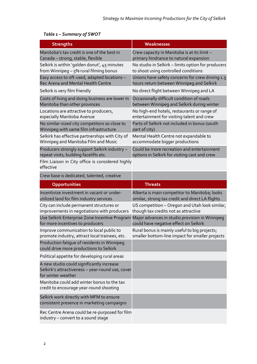| <b>Strengths</b>                                                                                                    | Weaknesses                                         |
|---------------------------------------------------------------------------------------------------------------------|----------------------------------------------------|
| Manitoba's tax credit is one of the best in                                                                         | Crew capacity in Manitoba is at its limit -        |
| Canada - strong, stable, flexible                                                                                   | primary hindrance to natural expansion             |
| Selkirk is within 'golden donut', 45 minutes                                                                        | No studio in Selkirk - limits option for producers |
| from Winnipeg $-5\%$ rural filming bonus                                                                            | to shoot using controlled conditions               |
| Easy access to oft-used, adapted locations -                                                                        | Unions have safety concerns for crew driving 1.5   |
| Rec Arena and Mental Health Centre                                                                                  | hours return between Winnipeg and Selkirk          |
| Selkirk is very film friendly                                                                                       | No direct flight between Winnipeg and LA           |
| Costs of living and doing business are lower in                                                                     | Occasionally difficult condition of roads          |
| Manitoba than other provinces                                                                                       | between Winnipeg and Selkirk during winter         |
| Locations are attractive to producers,                                                                              | No high-end hotels, restaurants or range of        |
| especially Manitoba Avenue                                                                                          | entertainment for visiting talent and crew         |
| No similar-sized city competitors so close to                                                                       | Parts of Selkirk not included in bonus (south      |
| Winnipeg with same film infrastructure                                                                              | part of city)                                      |
| Selkirk has effective partnerships with City of                                                                     | Mental Health Centre not expandable to             |
| Winnipeg and Manitoba Film and Music                                                                                | accommodate bigger productions                     |
| Producers strongly support Selkirk industry -                                                                       | Could be more recreation and entertainment         |
| repeat visits; building facelifts etc.                                                                              | options in Selkirk for visiting cast and crew      |
| Film Liaison in City office is considered highly<br>effective                                                       |                                                    |
| Crew base is dedicated, talented, creative                                                                          |                                                    |
| Opportunities                                                                                                       | <b>Threats</b>                                     |
| Incentivize investment in vacant or under-                                                                          | Alberta is main competitor to Manitoba; looks      |
| utilized land for film industry services                                                                            | similar, strong tax credit and direct LA flights   |
| City can include permanent structures or                                                                            | US competition - Oregon and Utah look similar,     |
| improvements in negotiations with producers                                                                         | though tax credits not as attractive               |
| Use Selkirk Enterprise Zone Incentive Program                                                                       | Major advances in studio provision in Winnipeg     |
| for more incentives to producers                                                                                    | could have negative effect on Selkirk              |
| Improve communication to local public to                                                                            | Rural bonus is mainly useful to big projects;      |
| promote industry, attract local trainees, etc.                                                                      | smaller bottom-line impact for smaller projects    |
| Production fatique of residents in Winnipeg<br>could drive more productions to Selkirk                              |                                                    |
| Political appetite for developing rural areas                                                                       |                                                    |
| A new studio could significantly increase<br>Selkirk's attractiveness - year-round use, cover<br>for winter weather |                                                    |
| Manitoba could add winter bonus to the tax<br>credit to encourage year-round shooting                               |                                                    |
| Selkirk work directly with MFM to ensure<br>consistent presence in marketing campaigns                              |                                                    |
| Rec Centre Arena could be re-purposed for film<br>industry - convert to a sound stage                               |                                                    |

# *Table 1 – Summary of SWOT*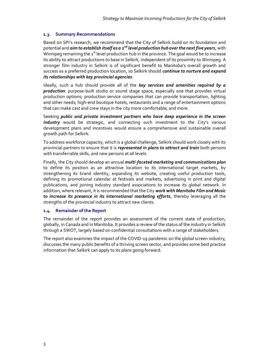## <span id="page-5-0"></span>**1.3. Summary Recommendations**

Based on SPI's research, we recommend that the City of Selkirk build on its foundation and potential and **aim to establish itself as a 2<sup>nd</sup> level production hub over the next five years,** with Winnipeg remaining the  $1<sup>st</sup>$  level production hub in the province. The goal would be to increase its ability to attract productions to base in Selkirk, independent of its proximity to Winnipeg. A stronger film industry in Selkirk is of significant benefit to Manitoba's overall growth and success as a preferred production location, so Selkirk should *continue to nurture and expand its relationships with key provincial agencies*.

Ideally, such a hub should provide all of the *key services and amenities required by a production*: purpose-built studio or sound stage space, especially one that provides virtual production options; production service companies that can provide transportation, lighting and other needs; high-end boutique hotels, restaurants and a range of entertainment options that can make cast and crew stays in the city more comfortable; and more.

Seeking *public and private investment partners who have deep experience in the screen industry* would be strategic, and connecting such investment to the City's various development plans and incentives would ensure a comprehensive and sustainable overall growth path for Selkirk.

To address workforce capacity, which is a global challenge, Selkirk should work closely with its provincial partners to ensure that it is *represented in plans to attract and train* both persons with transferrable skills, and new persons at all levels.

Finally, the City should develop an annual *multi-faceted marketing and communications plan* to define its position as an attractive location to its international target markets, by strengthening its brand identity, expanding its website, creating useful production tools, defining its promotional calendar at festivals and markets, advertising in print and digital publications, and joining industry standard associations to increase its global network. In addition, where relevant, it is recommended that the City *work with Manitoba Film and Music to increase its presence in its international marketing efforts*, thereby leveraging all the strengths of the provincial industry to attract new clients.

## <span id="page-5-1"></span>**1.4. Remainder of the Report**

The remainder of the report provides an assessment of the current state of production, globally, in Canada and in Manitoba. It provides a review of the status of the industry in Selkirk through a SWOT, largely based on confidential consultations with a range of stakeholders.

The report also examines the impact of the COVID-19 pandemic on the global screen industry, discusses the many public benefits of a thriving screen sector, and provides some best practice information that Selkirk can apply to its plans going forward.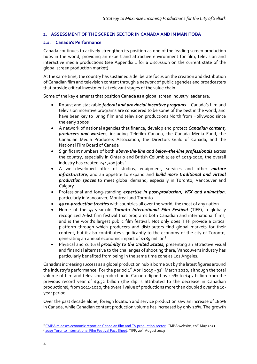## <span id="page-6-0"></span>**2. ASSESSMENT OF THE SCREEN SECTOR IN CANADA AND IN MANITOBA**

## <span id="page-6-1"></span>**2.1. Canada's Performance**

Canada continues to actively strengthen its position as one of the leading screen production hubs in the world, providing an expert and attractive environment for film, television and interactive media productions (see Appendix 1 for a discussion on the current state of the global screen production market).

At the same time, the country has sustained a deliberate focus on the creation and distribution of Canadian film and television content through a network of public agencies and broadcasters that provide critical investment at relevant stages of the value chain.

Some of the key elements that position Canada as a global screen industry leader are:

- Robust and stackable *federal and provincial incentive programs* Canada's film and television incentive programs are considered to be some of the best in the world, and have been key to luring film and television productions North from Hollywood since the early 2000s
- A network of national agencies that finance, develop and protect *Canadian content, producers and workers*, including Telefilm Canada, the Canada Media Fund, the Canadian Media Producers Association, the Directors Guild of Canada, and the National Film Board of Canada
- Significant numbers of both *above-the-line and below-the-line professionals* across the country, especially in Ontario and British Columbia; as of 2019-2020, the overall industry has created  $244,500$  jobs<sup>2</sup>
- A well-developed offer of studios, equipment, services and other *mature infrastructure*, and an appetite to expand and *build more traditional and virtual production spaces* to meet global demand, especially in Toronto, Vancouver and **Calgary**
- Professional and long-standing *expertise in post-production, VFX and animation*, particularly in Vancouver, Montreal and Toronto
- *59 co-production treaties* with countries all over the world, the most of any nation
- Home of the 45-year-old *Toronto International Film Festival* (TIFF), a globally recognized A-list film festival that programs both Canadian and international films, and is the world's largest public film festival. Not only does TIFF provide a critical platform through which producers and distributors find global markets for their content, but it also contributes significantly to the economy of the city of Toronto, generating an annual economic impact of \$189 million<sup>3</sup>
- Physical and cultural *proximity to the United States*, presenting an attractive visual and financial alternative to the challenges of shooting there; Vancouver's industry has particularly benefited from being in the same time zone as Los Angeles.

Canada's increasing success as a global production hub is borne out by the latest figures around the industry's performance. For the period  $1<sup>st</sup>$  April 2019 -  $31<sup>st</sup>$  March 2020, although the total volume of film and television production in Canada dipped by 1.1% to \$9.3 billion from the previous record year of \$9.32 billion (the dip is attributed to the decrease in Canadian productions), from 2011-2020, the overall value of productions more than doubled over the 10 year period.

Over the past decade alone, foreign location and service production saw an increase of 180% in Canada, while Canadian content production volume has increased by only 20%. The growth

<sup>&</sup>lt;sup>2</sup> [CMPA releases economic report on Canadian film and TV production sector.](https://cmpa.ca/press-releases/cmpa-releases-economic-report-on-canadian-film-and-tv-production-sector/) CMPA website, 20<sup>th</sup> May 2021

<sup>&</sup>lt;sup>3</sup> 2019 Toronto International Film Festival Fact Sheet</u>. TIFF, 20<sup>th</sup> August 2019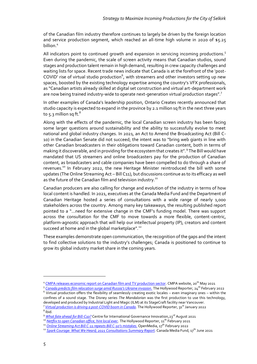of the Canadian film industry therefore continues to largely be driven by the foreign location and service production segment, which reached an all-time high volume in 2020 of \$5.25 billion. 4

All indicators point to continued growth and expansion in servicing incoming productions.<sup>5</sup> Even during the pandemic, the scale of screen activity means that Canadian studios, sound stages and production talent remain in high demand, resulting in crew capacity challenges and waiting lists for space. Recent trade news indicate that Canada is at the forefront of the 'post-COVID' rise of virtual studio production $^6$ , with streamers and other investors setting up new spaces, boosted by the existing technology expertise among the country's VFX professionals, as "Canadian artists already skilled at digital set construction and virtual art-department work are now being trained industry-wide to operate next-generation virtual production stages".<sup>7</sup>

In other examples of Canada's leadership position, Ontario Creates recently announced that studio capacity is expected to expand in the province by 2.1 million sq ft in the next three years to  $5.3$  million sq ft.<sup>8</sup>

Along with the effects of the pandemic, the local Canadian screen industry has been facing some larger questions around sustainability and the ability to successfully evolve to meet national and global industry changes. In 2021, an Act to Amend the Broadcasting Act (Bill C-10) in the Canadian Senate did not succeed; the intent was to "bring web giants in line with other Canadian broadcasters in their obligations toward Canadian content, both in terms of making it discoverable, and in providing for the ecosystem that creates it".<sup>9</sup> The Bill would have mandated that US streamers and online broadcasters pay for the production of Canadian content, as broadcasters and cable companies have been compelled to do through a share of revenues.<sup>10</sup> In February 2022, the new Heritage Minister reintroduced the bill with some updates (The Online Streaming Act – Bill C11), but discussions continue as to its efficacy as well as the future of the Canadian film and television industry.<sup>11</sup>

Canadian producers are also calling for change and evolution of the industry in terms of how local content is handled. In 2021, executives at the Canada Media Fund and the Department of Canadian Heritage hosted a series of consultations with a wide range of nearly 1,000 stakeholders across the country. Among many key takeaways, the resulting published report pointed to a "…need for extensive change in the CMF's funding model. There was support across the consultation for the CMF to move towards a more flexible, content-centric, platform-agnostic approach that will help our intellectual property (IP), creators and content succeed at home and in the global marketplace".<sup>12</sup>

These examples demonstrate open communication, the recognition of the gaps and the intent to find collective solutions to the industry's challenges; Canada is positioned to continue to grow its global industry market share in the coming years.

<sup>&</sup>lt;sup>4</sup> [CMPA releases economic report on Canadian film and TV production sector.](https://cmpa.ca/press-releases/cmpa-releases-economic-report-on-canadian-film-and-tv-production-sector/) CMPA website, 20<sup>th</sup> May 2021

<sup>&</sup>lt;sup>5</sup> <u>[Canada predicts film relocation surge amid Russia's Ukraine invasion.](https://www.hollywoodreporter.com/news/politics-news/russia-ukraine-invasion-canada-filming-surge-1235099008/)</u> The Hollywood Reporter, 24<sup>th</sup> February 2022

 $6$  Virtual production offers the flexibility of seamlessly creating exotic locales – even imaginary ones – within the confines of a sound stage. The Disney series *The Mandalorian* was the first production to use this technology, developed and produced by Industrial Light and Magic (ILM) at its StageCraft facility near Vancouver. <sup>7</sup> <u>[Virtual production is driving a post-COVID boom in Canada](https://www.hollywoodreporter.com/movies/movie-news/virtual-production-covid-canada-1235080848/#new_tab)</u>. The Hollywood Reporter, 31<sup>st</sup> January 2022

<sup>8</sup> Ibid.

<sup>&</sup>lt;sup>9</sup> *[What fate ahead for Bill-C10?](https://www.cigionline.org/articles/what-fate-ahead-for-bill-c-10/)* Centre for International Governance Innovation, 23<sup>rd</sup> August 2021

<sup>&</sup>lt;sup>10</sup> *[Netflix to open Canadian office, hire local exec](https://www.hollywoodreporter.com/business/business-news/netflix-to-open-canadian-office-hire-local-content-exec-4131399/)*. The Hollywood Reporter, 11<sup>th</sup> February 2021

<sup>&</sup>lt;sup>11</sup> *[Online Streaming Act Bill C-11](https://openmedia.org/article/item/online-streaming-act-bill-c-11-repeats-bill-c-10s-mistakes) repeats Bill C-10's mistakes*. OpenMedia, 17<sup>th</sup> February 2022

<sup>&</sup>lt;sup>12</sup> *[Spark Courage: What We Heard; 2021 Consultations Summary Report.](https://cmf-fmc.ca/document/2021-consultations-summary-report/)* Canada Media Fund, 17<sup>th</sup> June 2021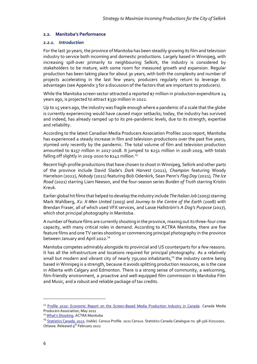#### <span id="page-8-0"></span>**2.2. Manitoba's Performance**

#### *2.2.1. Introduction*

For the last 30 years, the province of Manitoba has been steadily growing its film and television industry to service both incoming and domestic productions. Largely based in Winnipeg, with increasing spill-over primarily to neighbouring Selkirk, the industry is considered by stakeholders to be mature, with some room for measured growth and expansion. Regular production has been taking place for about 30 years, with both the complexity and number of projects accelerating in the last few years; producers regularly return to leverage its advantages (see Appendix 3 for a discussion of the factors that are important to producers).

While the Manitoba screen sector attracted a reported \$7 million in production expenditure 24 years ago, is projected to attract \$330 million in 2022.

Up to 15 years ago, the industry was fragile enough where a pandemic of a scale that the globe is currently experiencing would have caused major setbacks; today, the industry has survived and indeed, has already ramped up to its pre-pandemic levels, due to its strength, expertise and reliability.

According to the latest Canadian Media Producers Association Profiles 2020 report, Manitoba has experienced a steady increase in film and television productions over the past five years, stymied only recently by the pandemic. The total volume of film and television production amounted to \$157 million in 2017-2018. It jumped to \$251 million in 2018-2019, with totals falling off slightly in 2019-2020 to \$242 million.<sup>13</sup>

Recent high-profile productions that have chosen to shoot in Winnipeg, Selkirk and other parts of the province include David Slade's *Dark Harvest* (2022), *Champion* featuring Woody Harrelson (2022), *Nobody* (2021) featuring Bob Odenkirk, Sean Penn's *Flag Day* (2021), *The Ice Road* (2021) starring Liam Neeson, and the four-season series *Burden of Truth* starring Kristin Kreuk.

Earlier global hit films that helped to develop the industry include *The Italian Job* (2003) starring Mark Wahlberg, *X2: X-Men United* (2003) and *Journey to the Centre of the Earth* (2008) with Brendan Fraser, all of which used VFX services, and Lasse Hallström's *A Dog's Purpose* (2017), which shot principal photography in Manitoba.

A number of feature films are currently shooting in the province, maxing out its three-four crew capacity, with many critical roles in demand. According to ACTRA Manitoba, there are five feature films and one TV series shooting or commencing principal photography in the province between January and April 2022.<sup>14</sup>

Manitoba competes admirably alongside its provincial and US counterparts for a few reasons. It has all the infrastructure and locations required for principal photography. As a relatively small but modern and vibrant city of nearly 750,000 inhabitants.<sup>15</sup> the industry centre being based in Winnipeg is a strength, because it avoids splitting production resources, as is the case in Alberta with Calgary and Edmonton. There is a strong sense of community, a welcoming, film-friendly environment, a proactive and well-equipped film commission in Manitoba Film and Music, and a robust and reliable package of tax credits.

<sup>&</sup>lt;sup>13</sup> [Profile 2020: Economic Report on the Screen-Based Media Production Industry in Canada.](https://cmpa.ca/wp-content/uploads/2021/05/PROFILE-2020_EN.pdf) Canada Media Producers Association, May 2021

<sup>&</sup>lt;sup>14</sup> [What's Shooting](https://www.actramanitoba.ca/whats-shooting/). ACTRA Manitoba

<sup>&</sup>lt;sup>15</sup> [Statistics Canada. 2022.](https://www12.statcan.gc.ca/census-recensement/2021/dp-pd/prof/details/page.cfm?Lang=E&GENDERlist=1&STATISTIClist=1&HEADERlist=0&DGUIDlist=2021A00054611040&SearchText=winnipeg) (table). Census Profile. 2021 Census. Statistics Canada Catalogue no. 98-316-X2021001. Ottawa. Released 9<sup>th</sup> February 2022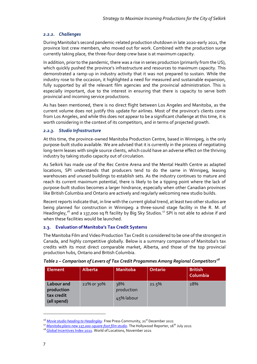## *2.2.2. Challenges*

During Manitoba's second pandemic-related production shutdown in late 2020-early 2021, the province lost crew members, who moved out for work. Combined with the production surge currently taking place, the three-four deep crew base is at maximum capacity.

In addition, prior to the pandemic, there was a rise in series production (primarily from the US), which quickly pushed the province's infrastructure and resources to maximum capacity. This demonstrated a ramp-up in industry activity that it was not prepared to sustain. While the industry rose to the occasion, it highlighted a need for measured and sustainable expansion, fully supported by all the relevant film agencies and the provincial administration. This is especially important, due to the interest in ensuring that there is capacity to serve both provincial and incoming service productions.

As has been mentioned, there is no direct flight between Los Angeles and Manitoba, as the current volume does not justify this update for airlines. Most of the province's clients come from Los Angeles, and while this does not appear to be a significant challenge at this time, it is worth considering in the context of its competitors, and in terms of projected growth.

## *2.2.3. Studio Infrastructure*

At this time, the province-owned Manitoba Production Centre, based in Winnipeg, is the only purpose-built studio available. We are advised that it is currently in the process of negotiating long-term leases with single source clients, which could have an adverse effect on the thriving industry by taking studio capacity out of circulation.

As Selkirk has made use of the Rec Centre Arena and the Mental Health Centre as adapted locations, SPI understands that producers tend to do the same in Winnipeg, leasing warehouses and unused buildings to establish sets. As the industry continues to mature and reach its current maximum potential, there is likely to be a tipping point where the lack of purpose-built studios becomes a larger hindrance, especially when other Canadian provinces like British Columbia and Ontario are actively and regularly welcoming new studio builds.

Recent reports indicate that, in line with the current global trend, at least two other studios are being planned for construction in Winnipeg: a three-sound stage facility in the R. M. of Headingley,<sup>16</sup> and a 137,000 sq ft facility by Big Sky Studios.<sup>17</sup> SPI is not able to advise if and when these facilities would be launched.

# <span id="page-9-0"></span>**2.3. Evaluation of Manitoba's Tax Credit Systems**

The Manitoba Film and Video Production Tax Credit is considered to be one of the strongest in Canada, and highly competitive globally. Below is a summary comparison of Manitoba's tax credits with its most direct comparable market, Alberta, and those of the top provincial production hubs, Ontario and British Columbia.

| <b>Element</b>                                        | Alberta       | <b>Manitoba</b>                 | <b>Ontario</b> | <b>British</b><br>Columbia |
|-------------------------------------------------------|---------------|---------------------------------|----------------|----------------------------|
| Labour and<br>production<br>tax credit<br>(all spend) | $22\%$ or 30% | 38%<br>production<br>45% labour | 21.5%          | 28%                        |

## *Table 2 – Comparison of Levers of Tax Credit Progammes Among Regional Competitors<sup>18</sup>*

<sup>&</sup>lt;sup>16</sup> [Movie studio heading to Headingley](https://www.winnipegfreepress.com/our-communities/headliner/Movie-studio-headed-to-Headingley-575951751.html). Free Press Community, 21<sup>st</sup> December 2021

<sup>&</sup>lt;sup>17</sup> [Manitoba plans new 137,000-square-foot film studio](https://www.hollywoodreporter.com/business/business-news/137000-square-foot-film-studio-in-the-works-for-manitoba-1234983515/)</u>. The Hollywood Reporter, 16<sup>th</sup> July 2021

<sup>18</sup> [Global Incentives Index 2021.](https://static1.squarespace.com/static/5f7708077cf66e15c7de89ee/t/61ea9a76a3badb4c8b434932/1642764925106/Global%2BIncentives%2BIndex%2B-%2BOctober%2B2021%2BUpdate.pdf) World of Locations, November 2021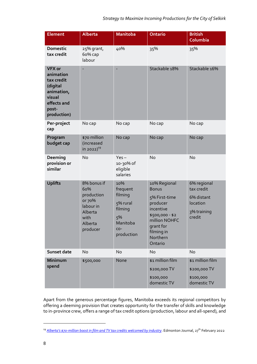| <b>Element</b>                                                                                                      | <b>Alberta</b>                                                                                    | <b>Manitoba</b>                                                                             | <b>Ontario</b>                                                                                                                                               | <b>British</b><br>Columbia                                                   |
|---------------------------------------------------------------------------------------------------------------------|---------------------------------------------------------------------------------------------------|---------------------------------------------------------------------------------------------|--------------------------------------------------------------------------------------------------------------------------------------------------------------|------------------------------------------------------------------------------|
| <b>Domestic</b><br>tax credit                                                                                       | 25% grant,<br>6о% сар<br>labour                                                                   | 40%                                                                                         | 35%                                                                                                                                                          | 35%                                                                          |
| <b>VFX or</b><br>animation<br>tax credit<br>(digital<br>animation,<br>visual<br>effects and<br>post-<br>production) |                                                                                                   |                                                                                             | Stackable 18%                                                                                                                                                | Stackable 16%                                                                |
| Per-project<br>cap                                                                                                  | No cap                                                                                            | No cap                                                                                      | No cap                                                                                                                                                       | No cap                                                                       |
| Program<br>budget cap                                                                                               | \$70 million<br>(increased<br>in 2022) $^{19}$                                                    | No cap                                                                                      | No cap                                                                                                                                                       | No cap                                                                       |
| Deeming<br>provision or<br>similar                                                                                  | <b>No</b>                                                                                         | $Yes -$<br>10-30% of<br>eligible<br>salaries                                                | No                                                                                                                                                           | No                                                                           |
| <b>Uplifts</b>                                                                                                      | 8% bonus if<br>60%<br>production<br>or 70%<br>labour in<br>Alberta<br>with<br>Alberta<br>producer | 10%<br>frequent<br>filming<br>5% rural<br>filming<br>5%<br>Manitoba<br>$CO -$<br>production | 10% Regional<br><b>Bonus</b><br>5% First-time<br>producer<br>incentive<br>\$500,000 - \$2<br>million NOHFC<br>grant for<br>filming in<br>Northern<br>Ontario | 6% regional<br>tax credit<br>6% distant<br>location<br>3% training<br>credit |
| Sunset date                                                                                                         | No                                                                                                | No                                                                                          | No                                                                                                                                                           | No                                                                           |
| Minimum<br>spend                                                                                                    | \$500,000                                                                                         | None                                                                                        | \$1 million film<br>\$200,000 TV<br>\$100,000<br>domestic TV                                                                                                 | \$1 million film<br>\$200,000 TV<br>\$100,000<br>domestic TV                 |

Apart from the generous percentage figures, Manitoba exceeds its regional competitors by offering a deeming provision that creates opportunity for the transfer of skills and knowledge to in-province crew, offers a range of tax credit options (production, labour and all-spend), and

<sup>&</sup>lt;sup>19</sup> *Alberta's \$70[-million boost in film and TV tax credits welcomed by industry](https://edmontonjournal.com/news/politics/alberta-70-million-tax-credits-industry)*. Edmonton Journal, 27<sup>th</sup> February 2022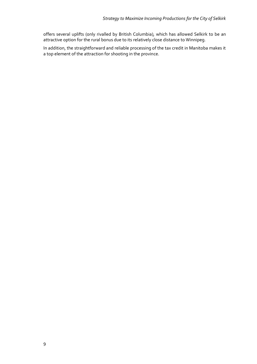offers several uplifts (only rivalled by British Columbia), which has allowed Selkirk to be an attractive option for the rural bonus due to its relatively close distance to Winnipeg.

In addition, the straightforward and reliable processing of the tax credit in Manitoba makes it a top element of the attraction for shooting in the province.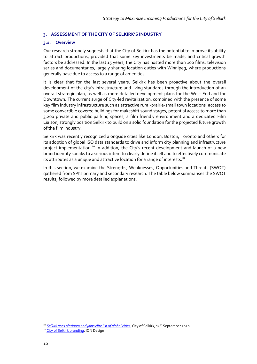#### <span id="page-12-0"></span>**3. ASSESSMENT OF THE CITY OF SELKIRK'S INDUSTRY**

#### <span id="page-12-1"></span>**3.1. Overview**

Our research strongly suggests that the City of Selkirk has the potential to improve its ability to attract productions, provided that some key investments be made, and critical growth factors be addressed. In the last 15 years, the City has hosted more than 100 films, television series and documentaries, largely sharing location duties with Winnipeg, where productions generally base due to access to a range of amenities.

It is clear that for the last several years, Selkirk has been proactive about the overall development of the city's infrastructure and living standards through the introduction of an overall strategic plan, as well as more detailed development plans for the West End and for Downtown. The current surge of City-led revitalization, combined with the presence of some key film industry infrastructure such as attractive rural-prairie-small town locations, access to some convertible covered buildings for makeshift sound stages, potential access to more than 3,200 private and public parking spaces, a film friendly environment and a dedicated Film Liaison, strongly position Selkirk to build on a solid foundation for the projected future growth of the film industry.

Selkirk was recently recognized alongside cities like London, Boston, Toronto and others for its adoption of global ISO data standards to drive and inform city planning and infrastructure project implementation.<sup>20</sup> In addition, the City's recent development and launch of a new brand identity speaks to a serious intent to clearly define itself and to effectively communicate its attributes as a unique and attractive location for a range of interests.<sup>21</sup>

In this section, we examine the Strengths, Weaknesses, Opportunities and Threats (SWOT) gathered from SPI's primary and secondary research. The table below summarises the SWOT results, followed by more detailed explanations.

<sup>&</sup>lt;sup>20</sup> [Selkirk goes platinum and joins elite list of global cities.](https://www.myselkirk.ca/blog/2020/09/14/selkirk-goes-platinum-and-joins-elite-list-of-global-cities/) City of Selkirk, 14<sup>th</sup> September 2020

<sup>&</sup>lt;sup>21</sup> [City of Selkirk](https://www.iondesign.ca/portfolio/city-of-selkirk) branding. ION Design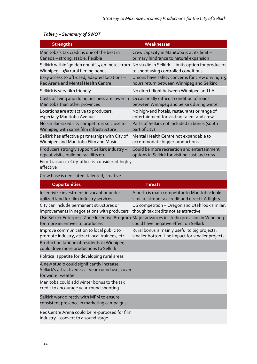| <b>Strengths</b>                                                                                                    | Weaknesses                                         |
|---------------------------------------------------------------------------------------------------------------------|----------------------------------------------------|
| Manitoba's tax credit is one of the best in                                                                         | Crew capacity in Manitoba is at its limit -        |
| Canada - strong, stable, flexible                                                                                   | primary hindrance to natural expansion             |
| Selkirk within 'golden donut', 45 minutes from                                                                      | No studio in Selkirk - limits option for producers |
| Winnipeg $-5\%$ rural filming bonus                                                                                 | to shoot using controlled conditions               |
| Easy access to oft-used, adapted locations -                                                                        | Unions have safety concerns for crew driving 1.5   |
| Rec Arena and Mental Health Centre                                                                                  | hours return between Winnipeg and Selkirk          |
| Selkirk is very film friendly                                                                                       | No direct flight between Winnipeg and LA           |
| Costs of living and doing business are lower in                                                                     | Occasionally difficult condition of roads          |
| Manitoba than other provinces                                                                                       | between Winnipeg and Selkirk during winter         |
| Locations are attractive to producers,                                                                              | No high-end hotels, restaurants or range of        |
| especially Manitoba Avenue                                                                                          | entertainment for visiting talent and crew         |
| No similar-sized city competitors so close to                                                                       | Parts of Selkirk not included in bonus (south      |
| Winnipeg with same film infrastructure                                                                              | part of city)                                      |
| Selkirk has effective partnerships with City of                                                                     | Mental Health Centre not expandable to             |
| Winnipeg and Manitoba Film and Music                                                                                | accommodate bigger productions                     |
| Producers strongly support Selkirk industry -                                                                       | Could be more recreation and entertainment         |
| repeat visits; building facelifts etc.                                                                              | options in Selkirk for visiting cast and crew      |
| Film Liaison in City office is considered highly<br>effective                                                       |                                                    |
| Crew base is dedicated, talented, creative                                                                          |                                                    |
| Opportunities                                                                                                       | <b>Threats</b>                                     |
| Incentivize investment in vacant or under-                                                                          | Alberta is main competitor to Manitoba; looks      |
| utilized land for film industry services                                                                            | similar, strong tax credit and direct LA flights   |
| City can include permanent structures or                                                                            | US competition - Oregon and Utah look similar,     |
| improvements in negotiations with producers                                                                         | though tax credits not as attractive               |
| Use Selkirk Enterprise Zone Incentive Program                                                                       | Major advances in studio provision in Winnipeg     |
| for more incentives to producers                                                                                    | could have negative effect on Selkirk              |
| Improve communication to local public to                                                                            | Rural bonus is mainly useful to big projects;      |
| promote industry, attract local trainees, etc.                                                                      | smaller bottom-line impact for smaller projects    |
| Production fatique of residents in Winnipeg<br>could drive more productions to Selkirk                              |                                                    |
| Political appetite for developing rural areas                                                                       |                                                    |
| A new studio could significantly increase<br>Selkirk's attractiveness - year-round use, cover<br>for winter weather |                                                    |
| Manitoba could add winter bonus to the tax<br>credit to encourage year-round shooting                               |                                                    |
| Selkirk work directly with MFM to ensure<br>consistent presence in marketing campaigns                              |                                                    |
| Rec Centre Arena could be re-purposed for film<br>industry - convert to a sound stage                               |                                                    |

# *Table 3 – Summary of SWOT*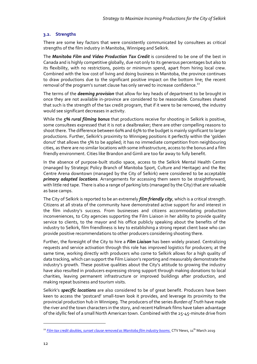## <span id="page-14-0"></span>**3.2. Strengths**

There are some key factors that were consistently communicated by consultees as critical strengths of the film industry in Manitoba, Winnipeg and Selkirk.

The *Manitoba Film and Video Production Tax Credit* is considered to be one of the best in Canada and is highly competitive globally, due not only to its generous percentages but also to its flexibility, with no restrictions, points or minimum spend, apart from hiring local crew. Combined with the low cost of living and doing business in Manitoba, the province continues to draw productions due to the significant positive impact on the bottom line; the recent removal of the program's sunset clause has only served to increase confidence.<sup>22</sup>

The terms of the *deeming provision* that allow for key heads of department to be brought in once they are not available in-province are considered to be reasonable. Consultees shared that such is the strength of the tax credit program, that if it were to be removed, the industry would see significant decreases in activity.

While the *5% rural filming bonus* that productions receive for shooting in Selkirk is positive, some consultees expressed that it is not a dealbreaker; there are other compelling reasons to shoot there. The difference between 60% and 65% to the budget is mainly significant to larger productions. Further, Selkirk's proximity to Winnipeg positions it perfectly within the 'golden donut' that allows the 5% to be applied; it has no immediate competition from neighbouring cities, as there are no similar locations with some infrastructure, access to the bonus and a film friendly environment. Cities like Brandon and Gimli are too far away to fully benefit.

In the absence of purpose-built studio space, access to the Selkirk Mental Health Centre (managed by Strategic Policy Branch of Manitoba Sport, Culture and Heritage) and the Rec Centre Arena downtown (managed by the City of Selkirk) were considered to be acceptable *primary adapted locations*. Arrangements for accessing them seem to be straightforward, with little red tape. There is also a range of parking lots (managed by the City) that are valuable as base camps.

The City of Selkirk is reported to be an extremely *film friendly city*, which is a critical strength. Citizens at all strata of the community have demonstrated active support for and interest in the film industry's success. From businesses and citizens accommodating production inconveniences, to City agencies supporting the Film Liaison in her ability to provide quality service to clients, to the mayor and his office publicly speaking about the benefits of the industry to Selkirk, film friendliness is key to establishing a strong repeat client base who can provide positive recommendations to other producers considering shooting there.

Further, the foresight of the City to hire a *Film Liaison* has been widely praised. Centralizing requests and service activation through this role has improved logistics for producers; at the same time, working directly with producers who come to Selkirk allows for a high quality of data tracking, which can support the Film Liaison's reporting and measurably demonstrate the industry's growth. These positive qualities about the City's attitude to growing the industry have also resulted in producers expressing strong support through making donations to local charities, leaving permanent infrastructure or improved buildings after production, and making repeat business and tourism visits.

Selkirk's *specific locations* are also considered to be of great benefit. Producers have been keen to access the 'postcard' small-town look it provides, and leverage its proximity to the provincial production hub in Winnipeg. The producers of the series *Burden of Truth* have made the river and the town characters in the story, and recent Hallmark films have taken advantage of the idyllic feel of a small North American town. Combined with the 25-45-minute drive from

<sup>&</sup>lt;sup>22</sup> [Film tax credit doubles, sunset clause removed as Manitoba film industry booms.](https://winnipeg.ctvnews.ca/film-tax-credit-doubles-sunset-clause-removed-as-manitoba-s-film-industry-booms-1.4331864) CTV News, 11<sup>th</sup> March 2019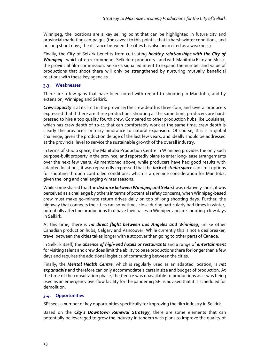Winnipeg, the locations are a key selling point that can be highlighted in future city and provincial marketing campaigns (the caveat to this point is that in harsh winter conditions, and on long shoot days, the distance between the cities has also been cited as a weakness).

Finally, the City of Selkirk benefits from cultivating *healthy relationships with the City of Winnipeg* – which often recommends Selkirk to producers – and with Manitoba Film and Music, the provincial film commission. Selkirk's signalled intent to expand the number and value of productions that shoot there will only be strengthened by nurturing mutually beneficial relations with these key agencies.

## <span id="page-15-0"></span>**3.3. Weaknesses**

There are a few gaps that have been noted with regard to shooting in Manitoba, and by extension, Winnipeg and Selkirk.

*Crew capacity* is at its limit in the province; the crew depth is three-four, and several producers expressed that if there are three productions shooting at the same time, producers are hardpressed to hire a top quality fourth crew. Compared to other production hubs like Louisiana, which has crew depth of 10-11 that can comfortably work at the same time, crew depth is clearly the province's primary hindrance to natural expansion. Of course, this is a global challenge, given the production deluge of the last few years, and ideally should be addressed at the provincial level to service the sustainable growth of the overall industry.

In terms of studio space, the Manitoba Production Centre in Winnipeg provides the only such purpose-built property in the province, and reportedly plans to enter long-lease arrangements over the next few years. As mentioned above, while producers have had good results with adapted locations, it was repeatedly expressed that the *lack of studio space* can limit options for shooting through controlled conditions, which is a genuine consideration for Manitoba, given the long and challenging winter seasons.

While some shared thatthe *distance between Winnipeg and Selkirk* was relatively short, it was perceived as a challenge by others in terms of potential safety concerns, when Winnipeg-based crew must make 90-minute return drives daily on top of long shooting days. Further, the highway that connects the cities can sometimes close during particularly bad times in winter, potentially affecting productions that have their bases in Winnipeg and are shooting a few days in Selkirk.

At this time, there is *no direct flight between Los Angeles and Winnipeg*, unlike other Canadian production hubs, Calgary and Vancouver. While currently this is not a dealbreaker, travel between the cities takes longer with a stopover than going to other parts of Canada.

In Selkirk itself, the *absence of high-end hotels or restaurants* and a range of *entertainment*  for visiting talent and crew does limit the ability to base productions there for longer than a few days and requires the additional logistics of commuting between the cities.

Finally, the *Mental Health Centre*, which is regularly used as an adapted location, is *not expandable* and therefore can only accommodate a certain size and budget of production. At the time of the consultation phase, the Centre was unavailable to productions as it was being used as an emergency overflow facility for the pandemic; SPI is advised that it is scheduled for demolition.

# <span id="page-15-1"></span>**3.4. Opportunities**

SPI sees a number of key opportunities specifically for improving the film industry in Selkirk.

Based on the *City's Downtown Renewal Strategy*, there are some elements that can potentially be leveraged to grow the industry in tandem with plans to improve the quality of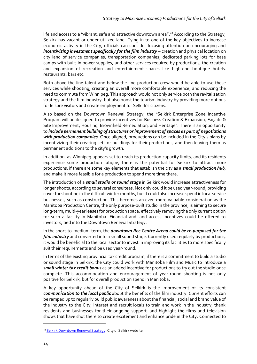life and access to a "vibrant, safe and attractive downtown area".<sup>23</sup> According to the Strategy, Selkirk has vacant or under-utilized land. Tying in to one of the key objectives to increase economic activity in the City, officials can consider focusing attention on encouraging and *incentivizing investment specifically for the film industry* – creation and physical location on city land of service companies, transportation companies, dedicated parking lots for base camps with built-in power supplies, and other services required by productions; the creation and expansion of recreation and entertainment spaces like high-end boutique hotels, restaurants, bars etc.

Both above-the-line talent and below-the-line production crew would be able to use these services while shooting, creating an overall more comfortable experience, and reducing the need to commute from Winnipeg. This approach would not only service both the revitalization strategy and the film industry, but also boost the tourism industry by providing more options for leisure visitors and create employment for Selkirk's citizens.

Also based on the Downtown Renewal Strategy, the "Selkirk Enterprise Zone Incentive Program will be designed to provide incentives for Business Creation & Expansion, Façade & Site Improvement, Housing, Brownfield Remediation, and Heritage". There is an opportunity to *include permanent building of structures or improvement of spaces as part of negotiations with production companies*. Once aligned, productions can be included in the City's plans by incentivizing their creating sets or buildings for their productions, and then leaving them as permanent additions to the city's growth.

In addition, as Winnipeg appears set to reach its production capacity limits, and its residents experience some production fatigue, there is the potential for Selkirk to attract more productions, if there are some key elements that establish the city as a *small production hub*, and make it more feasible for a production to spend more time there.

The introduction of a *small studio or sound stage* in Selkirk would increase attractiveness for longer shoots, according to several consultees. Not only could it be used year-round, providing cover for shooting in the difficult winter months, but it could also increase spend in local service businesses, such as construction. This becomes an even more valuable consideration as the Manitoba Production Centre, the only purpose-built studio in the province, is aiming to secure long-term, multi-year leases for production space, effectively removing the only current option for such a facility in Manitoba. Financial and land access incentives could be offered to investors, tied into the Downtown Renewal Strategy.

In the short-to-medium-term, the *downtown Rec Centre Arena could be re-purposed for the film industry* and converted into a small sound stage. Currently used regularly by productions, it would be beneficial to the local sector to invest in improving its facilities to more specifically suit their requirements and be used year-round.

In terms of the existing provincial tax credit program, if there is a commitment to build a studio or sound stage in Selkirk, the City could work with Manitoba Film and Music to introduce a *small winter tax credit bonus* as an added incentive for productions to try out the studio once complete. This accommodation and encouragement of year-round shooting is not only positive for Selkirk, but for overall production spend in Manitoba.

A key opportunity ahead of the City of Selkirk is the improvement of its consistent *communication to the local public* about the benefits of the film industry. Current efforts can be ramped up to regularly build public awareness about the financial, social and brand value of the industry to the City, interest and recruit locals to train and work in the industry, thank residents and businesses for their ongoing support, and highlight the films and television shows that have shot there to create excitement and enhance pride in the City. Connected to

<sup>&</sup>lt;sup>23</sup> [Selkirk Downtown Renewal Strategy.](https://myselkirk.ca/wp-content/uploads/2017/01/Downtown-Selkirk-Renewal-Strategy-2016-2021.pdf) City of Selkirk website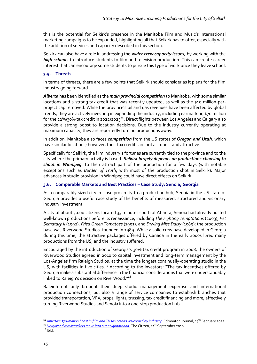this is the potential for Selkirk's presence in the Manitoba Film and Music's international marketing campaigns to be expanded, highlighting all that Selkirk has to offer, especially with the addition of services and capacity described in this section.

Selkirk can also have a role in addressing the *wider crew capacity issues,* by working with the *high schools* to introduce students to film and television production. This can create career interest that can encourage some students to pursue this type of work once they leave school.

## <span id="page-17-0"></span>**3.5. Threats**

In terms of threats, there are a few points that Selkirk should consider as it plans for the film industry going forward.

*Alberta* has been identified as the *main provincial competition* to Manitoba, with some similar locations and a strong tax credit that was recently updated, as well as the \$10 million-perproject cap removed. While the province's oil and gas revenues have been affected by global trends, they are actively investing in expanding the industry, including earmarking \$70 million for the 22%/30% tax credit in 2022/2023<sup>24</sup>. Direct flights between Los Angeles and Calgary also provide a strong boost to location decisions. Due to the industry currently operating at maximum capacity, they are reportedly turning productions away.

In addition, Manitoba also faces *competition* from the US states of *Oregon and Utah*, which have similar locations; however, their tax credits are not as robust and attractive.

Specifically for Selkirk, the film industry's fortunes are currently tied to the province and to the city where the primary activity is based. *Selkirk largely depends on productions choosing to shoot in Winnipeg*, to then attract part of the production for a few days (with notable exceptions such as *Burden of Truth*, with most of the production shot in Selkirk). Major advances in studio provision in Winnipeg could have direct effects on Selkirk.

## <span id="page-17-1"></span>**3.6. Comparable Markets and Best Practices – Case Study: Senoia, Georgia**

As a comparably sized city in close proximity to a production hub, Senoia in the US state of Georgia provides a useful case study of the benefits of measured, structured and visionary industry investment.

A city of about 5,000 citizens located 35 minutes south of Atlanta, Senoia had already hosted well-known productions before its renaissance, including *The Fighting Temptations* (2003), *Pet Sematary II* (1992), *Fried Green Tomatoes* (1991), and *Driving Miss Daisy* (1989); the production base was Riverwood Studios, founded in 1989. While a solid crew base developed in Georgia during this time, the attractive packages offered by Canada in the early 2000s lured many productions from the US, and the industry suffered.

Encouraged by the introduction of Georgia's 30% tax credit program in 2008, the owners of Riverwood Studios agreed in 2010 to capital investment and long-term management by the Los-Angeles firm Raleigh Studios, at the time the longest continually-operating studio in the US, with facilities in five cities.<sup>25</sup> According to the investors: "The tax incentives offered by Georgia make a substantial difference in the financial considerations that were understandably linked to Raleigh's decision on RiverWood."<sup>26</sup>

Raleigh not only brought their deep studio management expertise and international production connections, but also a range of service companies to establish branches that provided transportation, VFX, props, lights, trussing, tax credit financing and more, effectively turning Riverwood Studios and Senoia into a one-stop production hub.

<sup>&</sup>lt;sup>24</sup> *Alberta's \$70[-million boost in film and TV tax credits welcomed by industry](https://edmontonjournal.com/news/politics/alberta-70-million-tax-credits-industry)*. Edmonton Journal, 27<sup>th</sup> February 2022

<sup>&</sup>lt;sup>25</sup> *Hollywood moviemakers move into our neighborhood*. The Citizen, 21<sup>st</sup> September 2010

 $26$  Ibid.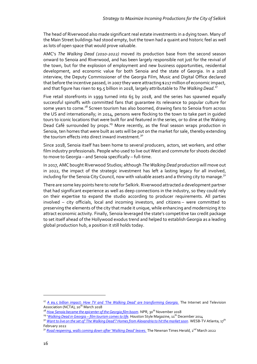The head of Riverwood also made significant real estate investments in a dying town. Many of the Main Street buildings had stood empty, but the town had a quaint and historic feel as well as lots of open space that would prove valuable.

AMC's *The Walking Dead (2010-2022)* moved its production base from the second season onward to Senoia and Riverwood, and has been largely responsible not just for the revival of the town, but for the explosion of employment and new business opportunities, residential development, and economic value for both Senoia and the state of Georgia. In a 2018 interview, the Deputy Commissioner of the Georgia Film, Music and Digital Office declared that before the incentive passed, in 2007 they were attracting \$217 million of economic impact, and that figure has risen to \$9.5 billion in 2018, largely attributable to The Walking Dead.<sup>27</sup>

Five retail storefronts in 1999 turned into 65 by 2018, and the series has spawned equally successful spinoffs with committed fans that guarantee its relevance to popular culture for some years to come.<sup>28</sup> Screen tourism has also boomed, drawing fans to Senoia from across the US and internationally; in 2014, persons were flocking to the town to take part in guided tours to iconic locations that were built for and featured in the series, or to dine at the Waking Dead Café surrounded by props.<sup>29</sup> More recently, as the final season wraps production in Senoia, ten homes that were built as sets will be put on the market for sale, thereby extending the tourism effects into direct inward investment.<sup>30</sup>

Since 2018, Senoia itself has been home to several producers, actors, set workers, and other film industry professionals. People who used to live out West and commute for shoots decided to move to Georgia – and Senoia specifically – full-time.

In 2017, AMC bought Riverwood Studios; although *The Walking Dead* production will move out in 2022, the impact of the strategic investment has left a lasting legacy for all involved, including for the Senoia City Council, now with valuable assets and a thriving city to manage.<sup>31</sup>

There are some key points here to note for Selkirk. Riverwood attracted a development partner that had significant experience as well as deep connections in the industry, so they could rely on their expertise to expand the studio according to producer requirements. All parties involved – city officials, local and incoming investors, and citizens – were committed to preserving the elements of the city that made it unique, while enhancing and modernizing it to attract economic activity. Finally, Senoia leveraged the state's competitive tax credit package to set itself ahead of the Hollywood exodus trend and helped to establish Georgia as a leading global production hub, a position it still holds today.

<sup>27</sup> *[A \\$9.5 billion impact: How TV and 'The Walking Dead' are transforming Georgia.](https://www.ncta.com/whats-new/a-95-billion-impact-how-tv-and-the-walking-dead-are-transforming-georgia)* The Internet and Television Association (NCTA), 20<sup>th</sup> March 2018

<sup>&</sup>lt;sup>28</sup> [How Senoia became the epicenter of the Georgia film boom](https://www.gpb.org/blogs/georgia-at-work/2017/03/14/how-senoia-became-the-epicenter-of-the-georgia-film-boom). NPR, 30<sup>th</sup> November 2018

<sup>&</sup>lt;sup>29</sup> '*Walking Dead in Georgia - film tourism comes to life*. Houston Style Magazine, 11<sup>th</sup> December 2014

<sup>&</sup>lt;sup>30</sup> *[Want to live on the set of 'The Walking Dead'? Homes from Alexandria to hit the market soon](https://www.wsbtv.com/news/local/coweta-county/want-live-set-walking-dead-homes-alexandria-hit-market-soon/S4QTQS3EHBHANOXE5J6RYEBK7M/)*. WESB-TV Atlanta, 17<sup>th</sup> February 2022

<sup>&</sup>lt;sup>31</sup> *[Road reopening, walls coming down after 'Walking Dead' leaves.](https://times-herald.com/news/2022/01/road-reopening-walls-coming-down-after-walking-dead-leaves)* The Newnan Times Herald, 2<sup>nd</sup> March 2022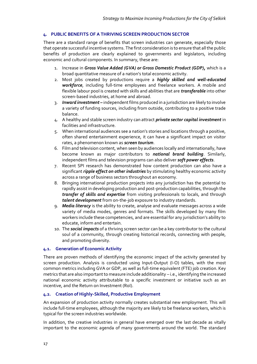## <span id="page-19-0"></span>**4. PUBLIC BENEFITS OF A THRIVING SCREEN PRODUCTION SECTOR**

There are a standard range of benefits that screen industries can generate, especially those that operate successful incentive systems. The first consideration is to ensure that all the public benefits of production are clearly explained to governments and legislators, including economic and cultural components. In summary, these are:

- 1. Increase in *Gross Value Added (GVA) or Gross Domestic Product (GDP),* which is a broad quantitative measure of a nation's total economic activity.
- 2. Most jobs created by productions require a *highly skilled and well-educated workforce*, including full-time employees and freelance workers. A mobile and flexible labour pool is created with skills and abilities that are *transferable* into other screen-based industries, at home and abroad.
- 3. *Inward investment –* independent films produced in a jurisdiction are likely to involve a variety of funding sources, including from outside, contributing to a positive trade balance.
- 4. A healthy and stable screen industry can attract *private sector capital investment* in facilities and infrastructure.
- 5. When international audiences see a nation's stories and locations through a positive, often shared entertainment experience, it can have a significant impact on visitor rates, a phenomenon known as *screen tourism*.
- 6. Film and television content, when seen by audiences locally and internationally, have become known as major contributors to *national brand building*. Similarly, independent films and television programs can also deliver *soft power effects*.
- 7. Recent SPI research has demonstrated how content production can also have a significant *ripple effect on other industries* by stimulating healthy economic activity across a range of business sectors throughout an economy.
- 8. Bringing international production projects into any jurisdiction has the potential to rapidly assist in developing production and post-production capabilities, through the *transfer of skills and expertise* from visiting professionals to locals, and through *talent development* from on-the-job exposure to industry standards.
- 9. *Media literacy* is the ability to create, analyse and evaluate messages across a wide variety of media modes, genres and formats. The skills developed by many film workers include these competencies, and are essential for any jurisdiction's ability to educate, inform and entertain.
- 10. The *social impacts* of a thriving screen sector can be a key contributor to the cultural soul of a community, through creating historical records, connecting with people, and promoting diversity.

## <span id="page-19-1"></span>**4.1. Generation of Economic Activity**

There are proven methods of identifying the economic impact of the activity generated by screen production. Analysis is conducted using Input-Output (I-O) tables, with the most common metrics including GVA or GDP, as well as full-time equivalent (FTE) job creation. Key metrics that are also important to measure include additionality – i.e., identifying the increased national economic activity attributable to a specific investment or initiative such as an incentive, and the Return on Investment (RoI).

# <span id="page-19-2"></span>**4.2. Creation of Highly-Skilled, Productive Employment**

An expansion of production activity normally creates substantial new employment. This will include full-time employees, although the majority are likely to be freelance workers, which is typical for the screen industries worldwide.

In addition, the creative industries in general have emerged over the last decade as vitally important to the economic agenda of many governments around the world. The standard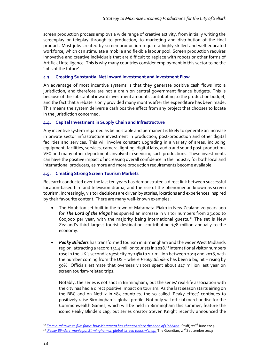screen production process employs a wide range of creative activity, from initially writing the screenplay or teleplay through to production, to marketing and distribution of the final product. Most jobs created by screen production require a highly-skilled and well-educated workforce, which can stimulate a mobile and flexible labour pool. Screen production requires innovative and creative individuals that are difficult to replace with robots or other forms of Artificial Intelligence. This is why many countries consider employment in this sector to be the 'jobs of the future'.

# <span id="page-20-0"></span>**4.3. Creating Substantial Net Inward Investment and Investment Flow**

An advantage of most incentive systems is that they generate positive cash flows into a jurisdiction, and therefore are not a drain on central government finance budgets. This is because of the substantial inward investment amounts contributing to the production budget, and the fact that a rebate is only provided many months after the expenditure has been made. This means the system delivers a cash positive effect from any project that chooses to locate in the jurisdiction concerned.

## <span id="page-20-1"></span>**4.4. Capital Investment in Supply Chain and Infrastructure**

Any incentive system regarded as being stable and permanent is likely to generate an increase in private sector infrastructure investment in production, post-production and other digital facilities and services. This will involve constant upgrading in a variety of areas, including equipment, facilities, services, camera, lighting, digital labs, audio and sound post-production, VFX and many other departments involved in servicing such productions. These investments can have the positive impact of increasing overall confidence in the industry for both local and international producers, as more and more production requirements become available.

## <span id="page-20-2"></span>**4.5. Creating Strong Screen Tourism Markets**

Research conducted over the last ten years has demonstrated a direct link between successful location-based film and television drama, and the rise of the phenomenon known as screen tourism. Increasingly, visitor decisions are driven by stories, locations and experiences inspired by their favourite content. There are many well-known examples:

- The Hobbiton set built in the town of Matamata-Piako in New Zealand 20 years ago for *The Lord of the Rings* has spurred an increase in visitor numbers from 25,000 to 600,000 per year, with the majority being international quests.<sup>32</sup> The set is New Zealand's third largest tourist destination, contributing \$78 million annually to the economy.
- *Peaky Blinders* has transformed tourism in Birmingham and the wider West Midlands region, attracting a record  $131.4$  million tourists in 2018.<sup>33</sup> International visitor numbers rose in the UK's second largest city by 19% to 1.1 million between 2013 and 2018, with the number coming from the US – where *Peaky Blinders* has been a big hit – rising by 50%. Officials estimate that overseas visitors spent about £17 million last year on screen tourism-related trips.

Notably, the series is not shot in Birmingham, but the series' real-life association with the city has had a direct positive impact on tourism. As the last season starts airing on the BBC and on Netflix in 183 countries, the so-called 'Peaky effect' continues to positively raise Birmingham's global profile. Not only will official merchandise for the Comm0nwealth Games, which will be held in Birmingham this summer, feature the iconic Peaky Blinders cap, but series creator Steven Knight recently announced the

<sup>&</sup>lt;sup>32</sup> *[From rural town to film fame: how Matamata has changed since the boon of Hobbiton.](https://www.stuff.co.nz/business/113460102/from-rural-town-to-film-fame-how-matamata-has-changed-since-the-boom-of-hobbiton)* Stuff, 22<sup>nd</sup> June 2019

<sup>&</sup>lt;sup>33</sup> ['Peaky Blinders' mania put Birmingham on global 'screen tourism' map.](https://www.theguardian.com/uk-news/2019/sep/02/peaky-blinders-mania-birmingham-screen-tourism-boom) The Guardian, 2<sup>nd</sup> September 2019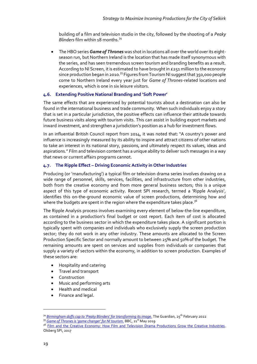building of a film and television studio in the city, followed by the shooting of a *Peaky Blinders* film within 18 months.<sup>34</sup>

• The HBO series *Game of Thrones* was shot in locations all over the world over its eightseason run, but Northern Ireland is the location that has made itself synonymous with the series, and has seen tremendous screen tourism and branding benefits as a result. According to NI Screen, it is estimated to have brought in £251 million to the economy since production began in 2010.<sup>35</sup> Figures from Tourism NI suggest that 350,000 people come to Northern Ireland every year just for *Game of Thrones*-related locations and experiences, which is one in six leisure visitors.

## <span id="page-21-0"></span>**4.6. Extending Positive National Branding and 'Soft Power'**

The same effects that are experienced by potential tourists about a destination can also be found in the international business and trade community. When such individuals enjoy a story that is set in a particular jurisdiction, the positive effects can influence their attitude towards future business visits along with tourism visits. This can assist in building export markets and inward investment, and strengthen a jurisdiction's position as a hub for investment flows.

In an influential British Council report from 2014, it was noted that: "A country's power and influence is increasingly measured by its ability to inspire and attract citizens of other nations to take an interest in its national story, passions, and ultimately respect its values, ideas and aspirations." Film and television content has a unique ability to deliver such messages in a way that news or current affairs programs cannot.

#### <span id="page-21-1"></span>**4.7. The Ripple Effect – Driving Economic Activity in Other Industries**

Producing (or 'manufacturing') a typical film or television drama series involves drawing on a wide range of personnel, skills, services, facilities, and infrastructure from other industries, both from the creative economy and from more general business sectors; this is a unique aspect of this type of economic activity. Recent SPI research, termed a 'Ripple Analysis', identifies this on-the-ground economic value of screen productions, determining how and where the budgets are spent in the region where the expenditure takes place.<sup>36</sup>

The Ripple Analysis process involves examining every element of below-the-line expenditure, as contained in a production's final budget or cost report. Each item of cost is allocated according to the business sector in which the expenditure takes place. A significant portion is typically spent with companies and individuals who exclusively supply the screen production sector; they do not work in any other industry. These amounts are allocated to the Screen Production Specific Sector and normally amount to between 25% and 50% of the budget. The remaining amounts are spent on services and supplies from individuals or companies that supply a variety of sectors within the economy, in addition to screen production. Examples of these sectors are:

- Hospitality and catering
- Travel and transport
- Construction
- Music and performing arts
- Health and medical
- Finance and legal.

<sup>&</sup>lt;sup>34</sup> *Birmingham doffs cap to 'Peaky Blinders' for transforming its image*. The Guardian, 25<sup>th</sup> February 2022

<sup>&</sup>lt;sup>35</sup> *Game [of Thrones is 'game changer' for NI tourism.](https://www.bbc.com/news/uk-northern-ireland-48343910)* BBC, 21<sup>st</sup> May 2019

<sup>&</sup>lt;sup>36</sup> [Film and the Creative Economy: How Film and Television Drama Productions Grow the Creative Industries.](https://static1.squarespace.com/static/5f7708077cf66e15c7de89ee/t/60282fe0afcfd77940746259/1613246442039/SPI-Creative-Industries-Report-2017-07-31.pdf) Olsberg SPI, 2017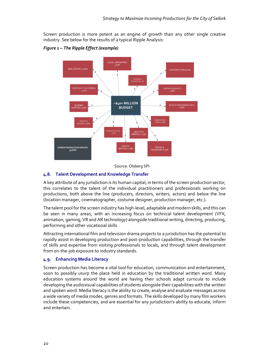Screen production is more potent as an engine of growth than any other single creative industry. See below for the results of a typical Ripple Analysis:

*Figure 1 – The Ripple Effect (example)*



#### Source: Olsberg SPI

## <span id="page-22-0"></span>**4.8. Talent Development and Knowledge Transfer**

A key attribute of any jurisdiction is its human capital; in terms of the screen production sector, this correlates to the talent of the individual practitioners and professionals working on productions, both above the line (producers, directors, writers, actors) and below the line (location manager, cinematographer, costume designer, production manager, etc.).

The talent pool for the screen industry has high-level, adaptable and modern skills, and this can be seen in many areas, with an increasing focus on technical talent development (VFX, animation, gaming, VR and AR technology) alongside traditional writing, directing, producing, performing and other vocational skills.

Attracting international film and television drama projects to a jurisdiction has the potential to rapidly assist in developing production and post-production capabilities, through the transfer of skills and expertise from visiting professionals to locals, and through talent development from on-the-job exposure to industry standards.

#### <span id="page-22-1"></span>**4.9. Enhancing Media Literacy**

Screen production has become a vital tool for education, communication and entertainment, soon to possibly usurp the place held in education by the traditional written word. Many education systems around the world are having their schools adapt curricula to include developing the audiovisual capabilities of students alongside their capabilities with the written and spoken word. Media literacy is the ability to create, analyse and evaluate messages across a wide variety of media modes, genres and formats. The skills developed by many film workers include these competencies, and are essential for any jurisdiction's ability to educate, inform and entertain.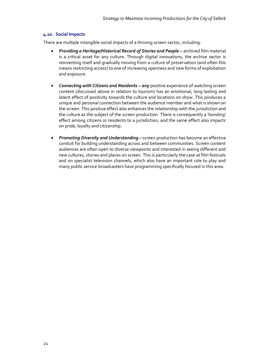### <span id="page-23-0"></span>**4.10. Social Impacts**

There are multiple intangible social impacts of a thriving screen sector, including:

- *Providing a Heritage/Historical Record of Stories and People –* archived film material is a critical asset for any culture. Through digital innovations, the archive sector is reinventing itself and gradually moving from a culture of preservation (and often this means restricting access) to one of increasing openness and new forms of exploitation and exposure.
- *Connecting with Citizens and Residents – any* positive experience of watching screen content (discussed above in relation to tourism) has an emotional, long-lasting and latent effect of positivity towards the culture and locations on show. This produces a unique and personal connection between the audience member and what is shown on the screen. This positive effect also enhances the relationship with the jurisdiction and the culture as the subject of the screen production. There is consequently a 'bonding' effect among citizens or residents to a jurisdiction, and the same effect also impacts on pride, loyalty and citizenship.
- *Promoting Diversity and Understanding –* screen production has become an effective conduit for building understanding across and between communities. Screen content audiences are often open to diverse viewpoints and interested in seeing different and new cultures, stories and places on screen. This is particularly the case at film festivals and on specialist television channels, which also have an important role to play and many public service broadcasters have programming specifically focused in this area.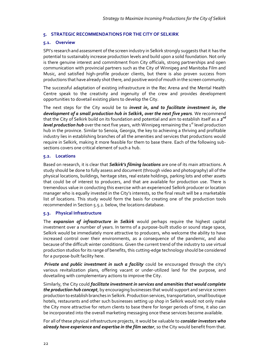#### <span id="page-24-0"></span>**5. STRATEGIC RECOMMENDATIONS FOR THE CITY OF SELKIRK**

#### <span id="page-24-1"></span>**5.1. Overview**

SPI's research and assessment of the screen industry in Selkirk strongly suggests that it has the potential to sustainably increase production levels and build upon a solid foundation. Not only is there genuine interest and commitment from City officials, strong partnerships and open communication with provincial partners such as the City of Winnipeg and Manitoba Film and Music, and satisfied high-profile producer clients, but there is also proven success from productions that have already shot there, and positive word of mouth in the screen community.

The successful adaptation of existing infrastructure in the Rec Arena and the Mental Health Centre speak to the creativity and ingenuity of the crew and provides development opportunities to dovetail existing plans to develop the City.

The next steps for the City would be to *invest in, and to facilitate investment in, the development of a small production hub in Selkirk, over the next five years*. We recommend that the City of Selkirk build on its foundation and potential and aim to establish itself as a 2<sup>nd</sup> *level production hub* over the next five years, with Winnipeg remaining the 1<sup>st</sup> level production hub in the province. Similar to Senoia, Georgia, the key to achieving a thriving and profitable industry lies in establishing branches of all the amenities and services that productions would require in Selkirk, making it more feasible for them to base there. Each of the following subsections covers one critical element of such a hub.

#### <span id="page-24-2"></span>**5.2. Locations**

Based on research, it is clear that *Selkirk's filming locations* are one of its main attractions. A study should be done to fully assess and document (through video and photography) all of the physical locations, buildings, heritage sites, real estate holdings, parking lots and other assets that could be of interest to producers, and that are available for production use. There is tremendous value in conducting this exercise with an experienced Selkirk producer or location manager who is equally invested in the City's interests, so the final result will be a marketable list of locations. This study would form the basis for creating one of the production tools recommended in Section 5.5.2. below, the locations database.

#### <span id="page-24-3"></span>**5.3. Physical Infrastructure**

The *expansion of infrastructure in Selkirk* would perhaps require the highest capital investment over a number of years. In terms of a purpose-built studio or sound stage space, Selkirk would be immediately more attractive to producers, who welcome the ability to have increased control over their environments, as a consequence of the pandemic, and also because of the difficult winter conditions. Given the current trend of the industry to use virtual production studios for its range of benefits, this cutting-edge technology should be considered for a purpose-built facility here.

*Private and public investment in such a facility* could be encouraged through the city's various revitalization plans, offering vacant or under-utilized land for the purpose, and dovetailing with complementary actions to improve the City.

Similarly, the City could *facilitate investment in services and amenities that would complete the production hub concept*, by encouraging businesses that would support and service screen production to establish branches in Selkirk. Production services, transportation, small boutique hotels, restaurants and other such businesses setting up shop in Selkirk would not only make the City more attractive for return clients to base there for longer periods of time, it also can be incorporated into the overall marketing messaging once these services become available.

For all of these physical infrastructure projects, it would be valuable to *consider investors who already have experience and expertise in the film sector*, so the City would benefit from that.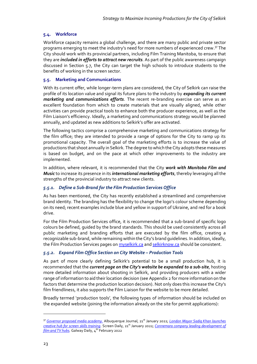## <span id="page-25-0"></span>**5.4. Workforce**

Workforce capacity remains a global challenge, and there are many public and private sector programs emerging to meet the industry's need for more numbers of experienced crew.<sup>37</sup> The City should work with its provincial partners, including Film Training Manitoba, to ensure that they are *included in efforts to attract new recruits*. As part of the public awareness campaign discussed in Section 5.7, the City can target the high schools to introduce students to the benefits of working in the screen sector.

## <span id="page-25-1"></span>**5.5. Marketing and Communications**

With its current offer, while longer-term plans are considered, the City of Selkirk can raise the profile of its location value and signal its future plans to the industry by *expanding its current marketing and communications efforts*. The recent re-branding exercise can serve as an excellent foundation from which to create materials that are visually aligned, while other activities can provide practical tools to enhance both the producer experience, as well as the Film Liaison's efficiency. Ideally, a marketing and communications strategy would be planned annually, and updated as new additions to Selkirk's offer are activated.

The following tactics comprise a comprehensive marketing and communications strategy for the film office; they are intended to provide a range of options for the City to ramp up its promotional capacity. The overall goal of the marketing efforts is to increase the value of productions that shoot annually in Selkirk. The degree to which the City adopts these measures is based on budget, and on the pace at which other improvements to the industry are implemented.

In addition, where relevant, it is recommended that the City *work with Manitoba Film and Music* to increase its presence in its *international marketing efforts*, thereby leveraging all the strengths of the provincial industry to attract new clients.

# *5.5.1. Define a Sub-Brand for the Film Production Services Office*

As has been mentioned, the City has recently established a streamlined and comprehensive brand identity. The branding has the flexibility to change the logo's colour scheme depending on its need; recent examples include blue and yellow in support of Ukraine, and red for a book drive.

For the Film Production Services office, it is recommended that a sub-brand of specific logo colours be defined, guided by the brand standards. This should be used consistently across all public marketing and branding efforts that are executed by the film office, creating a recognizable sub-brand, while remaining within the City's brand guidelines. In addition, ideally, the Film Production Services pages on **myselkirk.ca** an[d selkirknow.ca](https://selkirknow.ca/film-digital-media/) should be consistent.

## *5.5.2. Expand Film Office Section on City Website – Production Tools*

As part of more clearly defining Selkirk's potential to be a small production hub, it is recommended that the *current page on the City's website be expanded to a sub-site*, hosting more detailed information about shooting in Selkirk, and providing producers with a wider range of information to aid their location decision (see Appendix 2 for more information on the factors that determine the production location decision). Not only does this increase the City's film friendliness, it also supports the Film Liaison for the website to be more detailed.

Broadly termed 'production tools', the following types of information should be included on the expanded website (joining the information already on the site for permit applications):

<sup>37</sup> *[Governor proposed media academy.](https://www.abqjournal.com/2463175/governor-proposes-media-academy.html)* Albuquerque Journal, 21st January 2022; *[London Mayor Sadiq Khan launches](https://www.screendaily.com/news/london-mayor-sadiq-khan-launches-creative-hub-for-screen-skills-training/5167054.article)  [creative hub for screen skills training](https://www.screendaily.com/news/london-mayor-sadiq-khan-launches-creative-hub-for-screen-skills-training/5167054.article)*. Screen Daily, 21<sup>st</sup> January 2022; *Connemara company leading development of [film and TV hubs.](https://www.galwaydaily.com/arts-entertainment/television/connemara-company-leading-development-of-film-and-tv-hubs/)* Galway Daily, 4<sup>th</sup> February 2022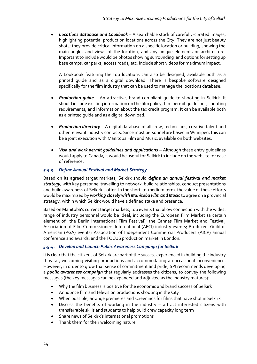• *Locations database and Lookbook* – A searchable stock of carefully-curated images, highlighting potential production locations across the City. They are not just beauty shots; they provide critical information on a specific location or building, showing the main angles and views of the location, and any unique elements or architecture. Important to include would be photos showing surrounding land options for setting up base camps, car parks, access roads, etc. Include short videos for maximum impact.

A Lookbook featuring the top locations can also be designed, available both as a printed guide and as a digital download. There is bespoke software designed specifically for the film industry that can be used to manage the locations database.

- *Production guide* An attractive, brand-compliant guide to shooting in Selkirk. It should include existing information on the film policy, film permit guidelines, shooting requirements, and information about the tax credit program. It can be available both as a printed guide and as a digital download.
- *Production directory* A digital database of all crew, technicians, creative talent and other relevant industry contacts. Since most personnel are based in Winnipeg, this can be a joint execution with Manitoba Film and Music, available on both websites.
- *Visa and work permit guidelines and applications* Although these entry guidelines would apply to Canada, it would be useful for Selkirk to include on the website for ease of reference.

# *5.5.3. Define Annual Festival and Market Strategy*

Based on its agreed target markets, Selkirk should *define an annual festival and market strategy*, with key personnel travelling to network, build relationships, conduct presentations and build awareness of Selkirk's offer. In the short-to-medium term, the value of these efforts would be maximized by *working closely with Manitoba Film and Music* to agree on a provincial strategy, within which Selkirk would have a defined stake and presence.

Based on Manitoba's current target markets, top events that allow connection with the widest range of industry personnel would be ideal, including the European Film Market (a certain element of the Berlin International Film Festival); the Cannes Film Market and Festival; Association of Film Commissioners International (AFCI) industry events; Producers Guild of American (PGA) events; Association of Independent Commercial Producers (AICP) annual conference and awards; and the FOCUS production market in London.

## *5.5.4. Develop and Launch Public Awareness Campaign for Selkirk*

It is clear that the citizens of Selkirk are part of the success experienced in building the industry thus far, welcoming visiting productions and accommodating an occasional inconvenience. However, in order to grow that sense of commitment and pride, SPI recommends developing a *public awareness campaign* that regularly addresses the citizens, to convey the following messages (the key messages can be expanded and adjusted as the industry matures):

- Why the film business is positive for the economic and brand success of Selkirk
- Announce film and television productions shooting in the City
- When possible, arrange premieres and screenings for films that have shot in Selkirk
- Discuss the benefits of working in the industry  $-$  attract interested citizens with transferrable skills and students to help build crew capacity long term
- Share news of Selkirk's international promotions
- Thank them for their welcoming nature.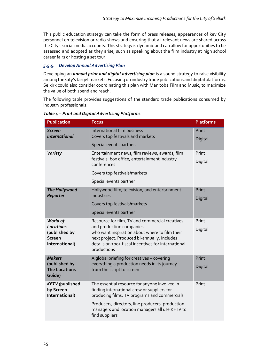This public education strategy can take the form of press releases, appearances of key City personnel on television or radio shows and ensuring that all relevant news are shared across the City's social media accounts. This strategy is dynamic and can allow for opportunities to be assessed and adopted as they arise, such as speaking about the film industry at high school career fairs or hosting a set tour.

# *5.5.5. Develop Annual Advertising Plan*

Developing an *annual print and digital advertising plan* is a sound strategy to raise visibility among the City's target markets. Focusing on industry trade publications and digital platforms, Selkirk could also consider coordinating this plan with Manitoba Film and Music, to maximize the value of both spend and reach.

The following table provides suggestions of the standard trade publications consumed by industry professionals:

| <b>Publication</b>                                                        | <b>Focus</b>                                                                                                                                                                                                                                                         | <b>Platforms</b> |
|---------------------------------------------------------------------------|----------------------------------------------------------------------------------------------------------------------------------------------------------------------------------------------------------------------------------------------------------------------|------------------|
| <b>Screen</b><br><b>International</b>                                     | International film business<br>Covers top festivals and markets                                                                                                                                                                                                      | Print            |
|                                                                           | Special events partner.                                                                                                                                                                                                                                              | Digital          |
| Variety                                                                   | Entertainment news, film reviews, awards, film<br>festivals, box office, entertainment industry<br>conferences                                                                                                                                                       | Print<br>Digital |
|                                                                           | Covers top festivals/markets                                                                                                                                                                                                                                         |                  |
|                                                                           | Special events partner                                                                                                                                                                                                                                               |                  |
| The Hollywood<br><b>Reporter</b>                                          | Hollywood film, television, and entertainment<br>industries                                                                                                                                                                                                          | Print<br>Digital |
|                                                                           | Covers top festivals/markets                                                                                                                                                                                                                                         |                  |
|                                                                           | Special events partner                                                                                                                                                                                                                                               |                  |
| World of<br>Locations<br>(published by<br><b>Screen</b><br>International) | Resource for film, TV and commercial creatives<br>and production companies<br>who want inspiration about where to film their<br>next project. Produced bi-annually. Includes<br>details on 100+ fiscal incentives for international<br>productions                   | Print<br>Digital |
| <b>Makers</b><br>(published by<br><b>The Locations</b><br>Guide)          | A global briefing for creatives - covering<br>everything a production needs in its journey<br>from the script to screen                                                                                                                                              | Print<br>Digital |
| <b>KFTV</b> (published<br>by Screen<br>International)                     | The essential resource for anyone involved in<br>finding international crew or suppliers for<br>producing films, TV programs and commercials<br>Producers, directors, line producers, production<br>managers and location managers all use KFTV to<br>find suppliers | Print            |

*Table 4 – Print and Digital Advertising Platforms*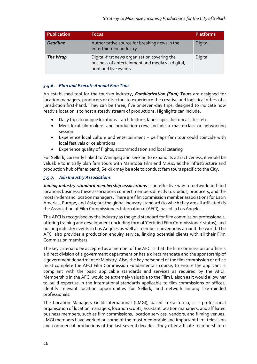| Publication     | <b>Focus</b>                                                                                                               | <b>Platforms</b> |
|-----------------|----------------------------------------------------------------------------------------------------------------------------|------------------|
| <b>Deadline</b> | Authoritative source for breaking news in the<br>entertainment industry                                                    | Digital          |
| The Wrap        | Digital-first news organisation covering the<br>business of entertainment and media via digital,<br>print and live events. | Digital          |

## *5.5.6. Plan and Execute Annual Fam Tour*

An established tool for the tourism industry*, Familiarization (Fam) Tours* are designed for location managers, producers or directors to experience the creative and logistical offers of a jurisdiction first-hand. They can be three, five or seven-day trips, designed to indicate how ready a location is to host a steady stream of productions. Highlights can include:

- Daily trips to unique locations architecture, landscapes, historical sites, etc.
- Meet local filmmakers and production crew; include a masterclass or networking session
- Experience local culture and entertainment perhaps fam tour could coincide with local festivals or celebrations
- Experience quality of flights, accommodation and local catering

For Selkirk, currently linked to Winnipeg and seeking to expand its attractiveness, it would be valuable to initially plan fam tours with Manitoba Film and Music; as the infrastructure and production hub offer expand, Selkirk may be able to conduct fam tours specific to the City.

## *5.5.7. Join Industry Associations*

*Joining industry-standard membership associations* is an effective way to network and find locations business; these associations connect members directly to studios, producers, and the most in-demand location managers. There are film commission member associations for Latin America, Europe, and Asia; but the global industry standard (to which they are all affiliated) is the Association of Film Commissioners International (AFCI), based in Los Angeles.

The AFCI is recognised by the industry as the gold standard for film commission professionals, offering training and development (including formal 'Certified Film Commissioner' status), and hosting industry events in Los Angeles as well as member conventions around the world. The AFCI also provides a production enquiry service, linking potential clients with all their Film Commission members.

The key criteria to be accepted as a member of the AFCI is that the film commission or office is a direct division of a government department or has a direct mandate and the sponsorship of a government department or Ministry. Also, the key personnel of the film commission or office must complete the AFCI Film Commission Fundamentals course, to ensure the applicant is compliant with the basic applicable standards and services as required by the AFCI. Membership in the AFCI would be extremely valuable to the Film Liaison as it would allow her to build expertise in the international standards applicable to film commissions or offices, identify relevant location opportunities for Selkirk, and network among like-minded professionals.

The Location Managers Guild International (LMGI), based in California, is a professional organisation of location managers, location scouts, assistant location managers, and affiliated business members, such as film commissions, location services, vendors, and filming venues. LMGI members have worked on some of the most memorable and important film, television and commercial productions of the last several decades. They offer affiliate membership to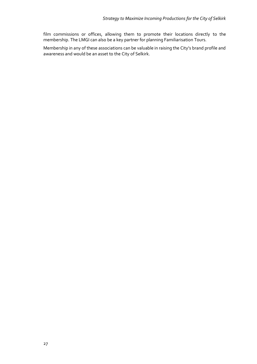film commissions or offices, allowing them to promote their locations directly to the membership. The LMGI can also be a key partner for planning Familiarisation Tours.

Membership in any of these associations can be valuable in raising the City's brand profile and awareness and would be an asset to the City of Selkirk.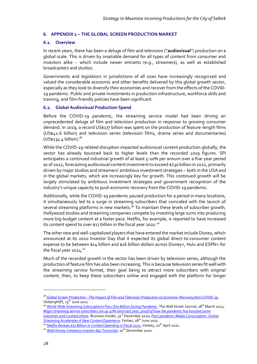#### <span id="page-30-0"></span>**6. APPENDIX 1 – THE GLOBAL SCREEN PRODUCTION MARKET**

#### <span id="page-30-1"></span>**6.1. Overview**

In recent years, there has been a deluge of film and television ("**audiovisual**") production on a global scale. This is driven by insatiable demand for all types of content from consumer and investors alike – which include newer entrants (e.g., streamers), as well as established broadcasters and studios.

Governments and legislators in jurisdictions of all sizes have increasingly recognized and valued the considerable economic and other benefits delivered by this global growth sector, especially as they look to diversify their economies and recover from the effects of the COVID-19 pandemic. Public and private investments in production infrastructure, workforce skills and training, and film-friendly policies have been significant.

#### <span id="page-30-2"></span>**6.2. Global Audiovisual Production Spend**

Before the COVID-19 pandemic, the streaming service model had been driving an unprecedented deluge of film and television production in response to growing consumer demand. In 2019, a record US\$177 billion was spent on the production of feature-length films (US\$42.6 billion) and television series (television films, drama series and documentaries)  $(US$134.4 billion).$ <sup>38</sup>

While the COVID-19-related disruption impacted audiovisual content production globally, the sector has already bounced back to higher levels than the recorded 2019 figures. SPI anticipates a continued industrial growth of at least 5-10% per annum over a five-year period as of 2022, forecasting audiovisual content investment to exceed \$230 billion in 2022, primarily driven by major studios and streamers' ambitious investment strategies – both in the USA and in the global markets, which are increasingly key for growth. This continued growth will be largely stimulated by ambitious investment strategies and government recognition of the industry's unique capacity to push economic recovery from the COVID-19 pandemic.

Additionally, while the COVID-19 pandemic paused production for a period in many locations, it simultaneously led to a surge in streaming subscribers that coincided with the launch of several streaming platforms in new markets.<sup>39</sup> To maintain these levels of subscriber growth, Hollywood studios and streaming companies compete by investing large sums into producing more big-budget content at a faster pace. Netflix, for example, is reported to have increased its content spend to over \$17 billion in the fiscal year 2021.<sup>40</sup>

The other new and well-capitalized players that have entered the market include Disney, which announced at its 2020 Investor Day that it expected its global direct-to-consumer content expense to be between \$14 billion and \$16 billion dollars across Disney+, Hulu and ESPN+ for the fiscal year  $2024.^{41}$ 

Much of the recorded growth in the sector has been driven by television series, although the production of feature film has also been increasing. This is because television series fit well with the streaming service format, their goal being to attract more subscribers with original content; then, to keep these subscribers online and engaged with the platform for longer

<sup>39</sup> *[World-Wide Streaming Subscriptions Pass One Billion During Pandemic.](https://www.wsj.com/articles/worldwide-streaming-subscriptions-pass-one-billion-during-pandemic-11616079600)* The Wall Street Journal, 18<sup>th</sup> March 2021; *[Major streaming service subscribers are up 50% since last year, proof of how the pandemic has boosted some](https://www.businessinsider.com/streaming-service-subscribers-up-50-last-year-2020-12?r=US&IR=T)  [industries and crushed others](https://www.businessinsider.com/streaming-service-subscribers-up-50-last-year-2020-12?r=US&IR=T)*. Business Insider, 31st December 2020; *[Post-pandemic Media Consumption: Online](https://www.forbes.com/sites/forrester/2021/06/28/post-pandemic-media-consumption-online-streaming-accelerates-a-new-content-experience/)*  **[Streaming Accelerates A New Content Experience](https://www.forbes.com/sites/forrester/2021/06/28/post-pandemic-media-consumption-online-streaming-accelerates-a-new-content-experience/)**. Forbes, 28<sup>th</sup> June 2021.

<sup>38</sup> *Global Screen Production –[The Impact of Film and Television Production on Economic Recovery from COVID-19.](https://www.o-spi.com/projects/economic-impact-studies-research-and-evaluation-ly9lh)* Olsberg•SPI, 25<sup>th</sup> June 2021.

<sup>&</sup>lt;sup>40</sup> *Netflix Reveals \$17 Billion in Content Spending in Fiscal 2021*. Variety, 20<sup>th</sup> April 2021.

<sup>41</sup> *[Walt Disney Company investor day Transcript](https://thewaltdisneycompany.com/app/uploads/2020/12/Disney_Investor_Day_2020_transcript.pdf)*, 10th December 2020.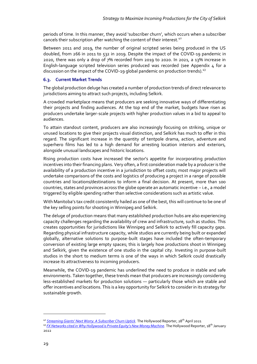periods of time. In this manner, they avoid 'subscriber churn', which occurs when a subscriber cancels their subscription after watching the content of their interest.<sup>42</sup>

Between 2011 and 2019, the number of original scripted series being produced in the US doubled, from 266 in 2011 to 532 in 2019. Despite the impact of the COVID-19 pandemic in 2020, there was only a drop of 7% recorded from 2019 to 2020. In 2021, a 13% increase in English-language scripted television series produced was recorded (see Appendix  $\mu$  for a discussion on the impact of the COVID-19 global pandemic on production trends).<sup>43</sup>

## <span id="page-31-0"></span>**6.3. Current Market Trends**

The global production deluge has created a number of production trends of direct relevance to jurisdictions aiming to attract such projects, including Selkirk.

A crowded marketplace means that producers are seeking innovative ways of differentiating their projects and finding audiences. At the top end of the market, budgets have risen as producers undertake larger-scale projects with higher production values in a bid to appeal to audiences.

To attain standout content, producers are also increasingly focusing on striking, unique or unused locations to give their projects visual distinction, and Selkirk has much to offer in this regard. The significant increase in the quantity of tentpole drama, action, adventure and superhero films has led to a high demand for arresting location interiors and exteriors, alongside unusual landscapes and historic locations.

Rising production costs have increased the sector's appetite for incorporating production incentives into their financing plans. Very often, a first consideration made by a producer is the availability of a production incentive in a jurisdiction to offset costs; most major projects will undertake comparisons of the costs and logistics of producing a project in a range of possible countries and locations/destinations to inform a final decision. At present, more than 100 countries, states and provinces across the globe operate an automatic incentive – i.e., a model triggered by eligible spending rather than selective considerations such as artistic value.

With Manitoba's tax credit consistently hailed as one of the best, this will continue to be one of the key selling points for shooting in Winnipeg and Selkirk.

The deluge of production means that many established production hubs are also experiencing capacity challenges regarding the availability of crew and infrastructure, such as studios. This creates opportunities for jurisdictions like Winnipeg and Selkirk to actively fill capacity gaps. Regarding physical infrastructure capacity, while studios are currently being built or expanded globally, alternative solutions to purpose-built stages have included the often-temporary conversion of existing large empty spaces; this is largely how productions shoot in Winnipeg and Selkirk, given the existence of one studio in the capital city. Investing in purpose-built studios in the short to medium terms is one of the ways in which Selkirk could drastically increase its attractiveness to incoming producers.

Meanwhile, the COVID-19 pandemic has underlined the need to produce in stable and safe environments. Taken together, these trends mean that producers are increasingly considering less-established markets for production solutions — particularly those which are stable and offer incentives and locations. This is a key opportunity for Selkirk to consider in its strategy for sustainable growth.

<sup>&</sup>lt;sup>42</sup> [Streaming Giants' Next Worry: A Subscriber Churn Uptick](https://www.hollywoodreporter.com/business/business-news/streaming-subscriber-churn-uptick-4174619/). The Hollywood Reporter, 28<sup>th</sup> April 2021

<sup>&</sup>lt;sup>43</sup> *[FX Networks cited in Why Hollywood is Private Equity's New Money Machine](https://www.hollywoodreporter.com/business/business-news/private-equity-hollywood-1235076358/)*. The Hollywood Reporter, 18<sup>th</sup> January 2022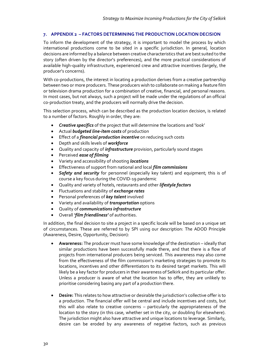## <span id="page-32-0"></span>**7. APPENDIX 2 – FACTORS DETERMINING THE PRODUCTION LOCATION DECISION**

To inform the development of the strategy, it is important to model the process by which international productions come to be sited in a specific jurisdiction. In general, location decisions are informed by a balance between creative characteristics that are best suited to the story (often driven by the director's preferences), and the more practical considerations of available high-quality infrastructure, experienced crew and attractive incentives (largely, the producer's concerns).

With co-productions, the interest in locating a production derives from a creative partnership between two or more producers. These producers wish to collaborate on making a feature film or television drama production for a combination of creative, financial, and personal reasons. In most cases, but not always, such a project will be made under the regulations of an official co-production treaty, and the producers will normally drive the decision.

This selection process, which can be described as the production location decision, is related to a number of factors. Roughly in order, they are:

- *Creative specifics* of the project that will determine the locations and 'look'
- Actual *budgeted line-item costs* of production
- Effect of a *financial production incentive* on reducing such costs
- Depth and skills levels of *workforce*
- Quality and capacity of *infrastructure* provision, particularly sound stages
- Perceived *ease of filming*
- Variety and accessibility of shooting *locations*
- Effectiveness of support from national and local *film commissions*
- *Safety and security* for personnel (especially key talent) and equipment; this is of course a key focus during the COVID-19 pandemic
- Quality and variety of hotels, restaurants and other *lifestyle factors*
- Fluctuations and stability of *exchange rates*
- Personal preferences of *key talent* involved
- Variety and availability of *transportation* options
- Quality of *communications infrastructure*
- Overall *'film friendliness'* of authorities.

In addition, the final decision to site a project in a specific locale will be based on a unique set of circumstances. These are referred to by SPI using our description: The ADOD Principle (Awareness, Desire, Opportunity, Decision):

- **Awareness:** The producer must have some knowledge of the destination ideally that similar productions have been successfully made there, and that there is a flow of projects from international producers being serviced. This awareness may also come from the effectiveness of the film commission's marketing strategies to promote its locations, incentives and other differentiators to its desired target markets. This will likely be a key factor for producers in their awareness of Selkirk and its particular offer. Unless a producer is aware of what the location has to offer, they are unlikely to prioritise considering basing any part of a production there.
- **Desire:** This relates to how attractive or desirable the jurisdiction's collective offer is to a production. The financial offer will be central and include incentives and costs, but this will also relate to creative concerns – particularly the appropriateness of the location to the story (in this case, whether set in the city, or doubling for elsewhere). The jurisdiction might also have attractive and unique locations to leverage. Similarly, desire can be eroded by any awareness of negative factors, such as previous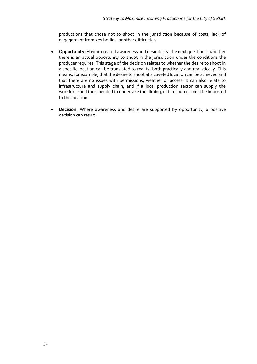productions that chose not to shoot in the jurisdiction because of costs, lack of engagement from key bodies, or other difficulties.

- **Opportunity:** Having created awareness and desirability, the next question is whether there is an actual opportunity to shoot in the jurisdiction under the conditions the producer requires. This stage of the decision relates to whether the desire to shoot in a specific location can be translated to reality, both practically and realistically. This means, for example, that the desire to shoot at a coveted location can be achieved and that there are no issues with permissions, weather or access. It can also relate to infrastructure and supply chain, and if a local production sector can supply the workforce and tools needed to undertake the filming, or if resources must be imported to the location.
- **Decision:** Where awareness and desire are supported by opportunity, a positive decision can result.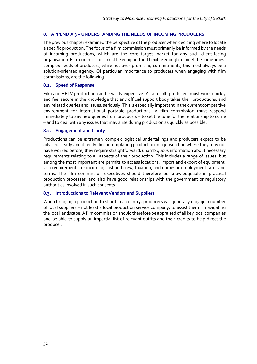#### <span id="page-34-0"></span>**8. APPENDIX 3 – UNDERSTANDING THE NEEDS OF INCOMING PRODUCERS**

The previous chapter examined the perspective of the producer when deciding where to locate a specific production. The focus of a film commission must primarily be informed by the needs of incoming productions, which are the core target market for any such client-facing organisation. Film commissions must be equipped and flexible enough to meet the sometimescomplex needs of producers, while not over-promising commitments; this must always be a solution-oriented agency. Of particular importance to producers when engaging with film commissions, are the following.

#### <span id="page-34-1"></span>**8.1. Speed of Response**

Film and HETV production can be vastly expensive. As a result, producers must work quickly and feel secure in the knowledge that any official support body takes their productions, and any related queries and issues, seriously. This is especially important in the current competitive environment for international portable productions. A film commission must respond immediately to any new queries from producers – to set the tone for the relationship to come – and to deal with any issues that may arise during production as quickly as possible.

#### <span id="page-34-2"></span>**8.2. Engagement and Clarity**

Productions can be extremely complex logistical undertakings and producers expect to be advised clearly and directly. In contemplating production in a jurisdiction where they may not have worked before, they require straightforward, unambiguous information about necessary requirements relating to all aspects of their production. This includes a range of issues, but among the most important are permits to access locations, import and export of equipment, visa requirements for incoming cast and crew, taxation, and domestic employment rates and terms. The film commission executives should therefore be knowledgeable in practical production processes, and also have good relationships with the government or regulatory authorities involved in such consents.

## <span id="page-34-3"></span>**8.3. Introductions to Relevant Vendors and Suppliers**

When bringing a production to shoot in a country, producers will generally engage a number of local suppliers – not least a local production service company, to assist them in navigating the local landscape. A film commission should therefore be appraised of all key local companies and be able to supply an impartial list of relevant outfits and their credits to help direct the producer.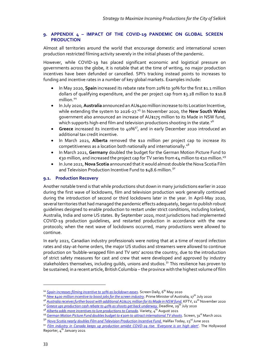#### <span id="page-35-0"></span>**9. APPENDIX 4 – IMPACT OF THE COVID-19 PANDEMIC ON GLOBAL SCREEN PRODUCTION**

Almost all territories around the world that encourage domestic and international screen production restricted filming activity severely in the initial phases of the pandemic.

However, while COVID-19 has placed significant economic and logistical pressure on governments across the globe, it is notable that at the time of writing, no major production incentives have been defunded or cancelled. SPI's tracking instead points to increases to funding and incentive rates in a number of key global markets. Examples include:

- In May 2020, **Spain** increased its rebate rate from 20% to 30% for the first \$1.1 million dollars of qualifying expenditure, and the per project cap from \$3.28 million to \$10.8 million.<sup>44</sup>
- In July 2020, **Australia** announced an AU\$400 million increase to its Location Incentive, while extending the system to 2026-27.<sup>45</sup> In November 2020, the **New South Wales** government also announced an increase of AU\$175 million to its Made in NSW fund, which supports high-end film and television productions shooting in the state.<sup>46</sup>
- **Greece** increased its incentive to 40%<sup>47</sup>, and in early December 2020 introduced an additional tax credit incentive.
- In March 2021, **Alberta** removed the \$10 million per project cap to increase its competitiveness as a location both nationally and internationally.<sup>48</sup>
- In March 2021, **Germany** doubled the budget for the German Motion Picture Fund to €30 million, and increased the project cap for TV series from  $\epsilon_4$  million to  $\epsilon_1$ 0 million.<sup>49</sup>
- In June 2021, **Nova Scotia** announced that it would almost double the Nova Scotia Film and Television Production Incentive Fund to  $$48.6$  million.<sup>50</sup>

#### <span id="page-35-1"></span>**9.1. Production Recovery**

Another notable trend is that while productions shut down in many jurisdictions earlier in 2020 during the first wave of lockdowns, film and television production work generally continued during the introduction of second or third lockdowns later in the year. In April-May 2020, several territories that had managed the pandemic effects adequately, began to publish robust guidelines designed to enable production to restart under strict conditions, including Iceland, Australia, India and some US states. By September 2020, most jurisdictions had implemented COVID-19 production guidelines, and restarted production in accordance with the new protocols; when the next wave of lockdowns occurred, many productions were allowed to continue.

In early 2021, Canadian industry professionals were noting that at a time of record infection rates and stay-at-home orders, the major US studios and streamers were allowed to continue production on 'bubble-wrapped film and TV sets' across the country, due to the introduction of strict safety measures for cast and crew that were developed and approved by industry stakeholders themselves, including quilds, unions and studios.<sup>51</sup> This resilience has proven to be sustained; in a recent article, British Columbia – the province with the highest volume of film

<sup>&</sup>lt;sup>44</sup> [Spain increases filming incentive to 30% as lockdown eases](https://www.screendaily.com/news/spain-increases-filming-incentive-to-30-as-lockdown-eases/5149639.article). Screen Daily, 6<sup>th</sup> May 2020

<sup>45</sup> *[New \\$400 million incentive to boost jobs for the screen industry](https://www.pm.gov.au/media/new-400-million-incentive-boost-jobs-screen-industry)*. Prime Minister of Australia, 17th July 2020

<sup>&</sup>lt;sup>46</sup> *[Australia receives further boost with additional AU\\$175 million for its Made in NSW fund.](https://www.kftv.com/news/2020/11/11/australia-receives-further-boost-with-additional-a175m-for-its-made-in-nsw-fund)* KFTV, 11<sup>th</sup> November 2020

<sup>47</sup> *[Greece ups production cash rebate to 40% as shoots get back](https://deadline.com/2020/07/greece-production-cash-rebate-to-40-shoots-underway-1202998303/) underway.* Deadline, 29th July 2020

<sup>&</sup>lt;sup>48</sup> *[Alberta adds more incentives to lure productions to Canada](https://variety.com/2021/film/spotlight/alberta-incentives-canada-1235034520/)*. Variety, 4<sup>th</sup> August 2021

<sup>49</sup> *[German Motion Picture Fund doubles budget to €30m to attract international TV shoots](https://www.screendaily.com/news/german-motion-picture-fund-doubles-budget-to-30m-to-attract-international-tv-shoots/5158559.article)*. Screen, 31st March 2021

<sup>&</sup>lt;sup>50</sup> *[Nova Scotia nearly doubles Film and Television Production Incentive Fund.](https://www.halifaxtoday.ca/local-news/nova-scotia-nearly-doubles-film-and-television-production-incentive-fund-3900395)* Halifax Today, 23<sup>rd</sup> June 2021

<sup>51</sup> *[Film industry in Canada keeps up production amidst COVD-](https://www.hollywoodreporter.com/business/business-news/film-industry-in-canada-keeps-up-production-amid-covid-19-rise-everyone-is-on-high-alert-4110708/)19 rise: 'Everyone is on high alert'*. The Hollywood Reporter,  $4^{th}$  January 2021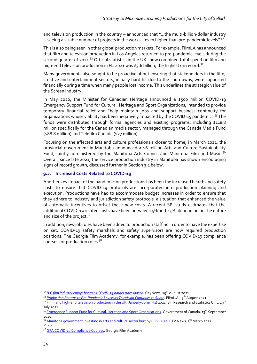and television production in the country – announced that "…the multi-billion-dollar industry is seeing a sizable number of projects in the works – even higher than pre-pandemic levels".<sup>52</sup>

This is also being seen in other global production markets. For example, FilmLA has announced that film and television production in Los Angeles returned to pre-pandemic levels during the second quarter of 2021.<sup>53</sup> Official statistics in the UK show combined total spend on film and high-end television production in H<sub>1</sub> 2021 was  $E_3$ .6 billion, the highest on record.<sup>54</sup>

Many governments also sought to be proactive about ensuring that stakeholders in the film, creative and entertainment sectors, initially hard hit due to the shutdowns, were supported financially during a time when many people lost income. This underlines the strategic value of the Screen industry.

In May 2020, the Minister for Canadian Heritage announced a \$500 million COVID-19 Emergency Support Fund for Cultural, Heritage and Sport Organizations, intended to provide temporary financial relief and "help maintain jobs and support business continuity for organizations whose viability has been negatively impacted by the COVID-19 pandemic".<sup>55</sup> The funds were distributed through formal agencies and existing programs, including \$118.8 million specifically for the Canadian media sector, managed through the Canada Media Fund (\$88.8 million) and Telefilm Canada (\$27 million).

Focusing on the affected arts and culture professionals closer to home, in March 2021, the provincial government in Manitoba announced a \$6 million Arts and Culture Sustainability Fund, jointly administered by the Manitoba Arts Council and Manitoba Film and Music.<sup>56</sup> Overall, since late 2021, the service production industry in Manitoba has shown encouraging signs of record growth, discussed further in Section 3.2 below.

## <span id="page-36-0"></span>**9.2. Increased Costs Related to COVID-19**

Another key impact of the pandemic on productions has been the increased health and safety costs to ensure that COVID-19 protocols are incorporated into production planning and execution. Productions have had to accommodate budget increases in order to ensure that they adhere to industry and jurisdiction safety protocols, a situation that enhanced the value of automatic incentives to offset these new costs. A recent SPI study estimates that the additional COVID-19 related costs have been between 15% and 25%, depending on the nature and size of the project.<sup>57</sup>

In addition, new job roles have been added to production staffing in order to have the expertise on set. COVID-19 safety marshals and safety supervisors are now required production positions. The Georgia Film Academy, for example, has been offering COVID-19 compliance courses for production roles.<sup>58</sup>

<sup>52</sup> *[B.C film industry enjoys boom as COVID-19 border rules loosen](https://www.citynews1130.com/2021/08/15/b-c-film-industry-enjoys-boom-as-covid-19-border-rules-loosen/)*. CityNews, 15th August 2021

<sup>53</sup> *[Production Returns to Pre-Pandemic Levels as Television Continues to Surge](https://www.filmla.com/production-returns-to-pre-pandemic-levels-as-television-continues-to-surge/)*. FilmL.A., 5th August 2021

<sup>&</sup>lt;sup>54</sup> [Film, and high-end television production in the UK; January-June \(H1\) 2021.](https://core-cms.bfi.org.uk/media/11588/download) BFI Research and Statistics Unit, 29<sup>th</sup> July 2021

<sup>55</sup> [Emergency Support Fund for Cultural, Heritage and Sport Organisations.](https://www.canada.ca/en/canadian-heritage/services/funding/information-covid-19/emergency-support-fund.html) Government of Canada, 13<sup>th</sup> September 2020

<sup>&</sup>lt;sup>56</sup> [Manitoba government investing in arts and culture sector hurt by COVID-19.](https://winnipeg.ctvnews.ca/manitoba-government-investing-in-arts-and-cultural-sector-hurt-by-covid-19-1.5361766) CTV News, 5<sup>th</sup> March 2021 <sup>57</sup> Ibid.

<sup>58</sup> [GFA COVID-19 Compliance Courses.](https://www.georgiafilmacademy.online/) Georgia Film Academy